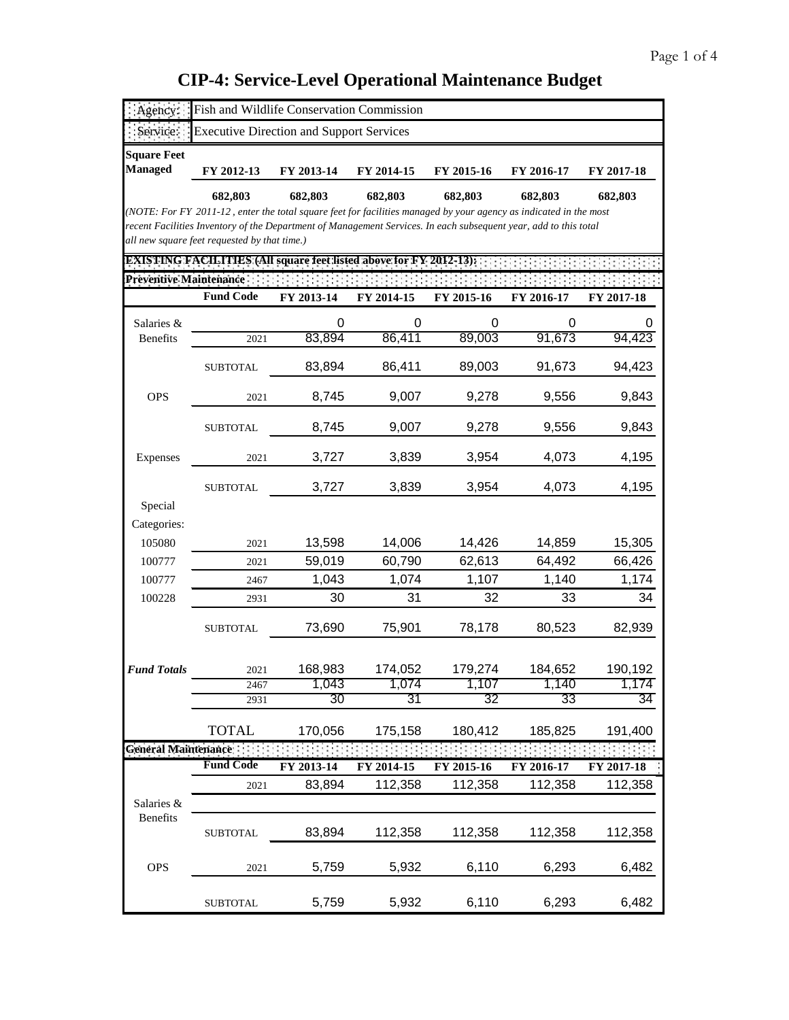| Agency:                              | Fish and Wildlife Conservation Commission                                                                                    |            |            |            |            |            |
|--------------------------------------|------------------------------------------------------------------------------------------------------------------------------|------------|------------|------------|------------|------------|
| Service:                             | <b>Executive Direction and Support Services</b>                                                                              |            |            |            |            |            |
| <b>Square Feet</b><br><b>Managed</b> | FY 2012-13                                                                                                                   | FY 2013-14 | FY 2014-15 | FY 2015-16 | FY 2016-17 | FY 2017-18 |
|                                      |                                                                                                                              |            |            |            |            |            |
|                                      | 682,803<br>(NOTE: For FY 2011-12, enter the total square feet for facilities managed by your agency as indicated in the most | 682,803    | 682,803    | 682,803    | 682,803    | 682,803    |
|                                      | recent Facilities Inventory of the Department of Management Services. In each subsequent year, add to this total             |            |            |            |            |            |
|                                      | all new square feet requested by that time.)                                                                                 |            |            |            |            |            |
|                                      | <b>EXISTING FACILITIES (All square feet listed above for FY 2012-13):</b>                                                    |            |            |            |            |            |
| <b>Preventive Maintenance</b>        |                                                                                                                              |            |            |            |            |            |
|                                      | <b>Fund Code</b>                                                                                                             | FY 2013-14 | FY 2014-15 | FY 2015-16 | FY 2016-17 | FY 2017-18 |
| Salaries &                           |                                                                                                                              | 0          | 0          | 0          | 0          |            |
| <b>Benefits</b>                      | 2021                                                                                                                         | 83,894     | 86,411     | 89,003     | 91,673     | 94,423     |
|                                      | <b>SUBTOTAL</b>                                                                                                              | 83,894     | 86,411     | 89,003     | 91,673     | 94,423     |
| <b>OPS</b>                           | 2021                                                                                                                         | 8,745      | 9,007      | 9,278      | 9,556      | 9,843      |
|                                      | <b>SUBTOTAL</b>                                                                                                              | 8,745      | 9,007      | 9,278      | 9,556      | 9,843      |
| Expenses                             | 2021                                                                                                                         | 3,727      | 3,839      | 3,954      | 4,073      | 4,195      |
|                                      | <b>SUBTOTAL</b>                                                                                                              | 3,727      | 3,839      | 3,954      | 4,073      | 4,195      |
| Special                              |                                                                                                                              |            |            |            |            |            |
| Categories:                          |                                                                                                                              |            |            |            |            |            |
| 105080                               | 2021                                                                                                                         | 13,598     | 14,006     | 14,426     | 14,859     | 15,305     |
| 100777                               | 2021                                                                                                                         | 59,019     | 60,790     | 62,613     | 64,492     | 66,426     |
| 100777                               | 2467                                                                                                                         | 1,043      | 1,074      | 1,107      | 1,140      | 1,174      |
| 100228                               | 2931                                                                                                                         | 30         | 31         | 32         | 33         | 34         |
|                                      | <b>SUBTOTAL</b>                                                                                                              | 73,690     | 75,901     | 78,178     | 80,523     | 82,939     |
| <b>Fund Totals</b>                   | 2021                                                                                                                         | 168,983    | 174,052    | 179,274    | 184,652    | 190,192    |
|                                      | 2467                                                                                                                         | 1,043      | 1,074      | 1,107      | 1,140      | 1,174      |
|                                      | 2931                                                                                                                         | 30         | 31         | 32         | 33         | 34         |
|                                      | <b>TOTAL</b>                                                                                                                 | 170,056    | 175,158    | 180,412    | 185,825    | 191,400    |
| General Maintenance                  |                                                                                                                              |            |            |            |            |            |
|                                      | <b>Fund Code</b>                                                                                                             | FY 2013-14 | FY 2014-15 | FY 2015-16 | FY 2016-17 | FY 2017-18 |
|                                      | 2021                                                                                                                         | 83,894     | 112,358    | 112,358    | 112,358    | 112,358    |
| Salaries &<br><b>Benefits</b>        |                                                                                                                              |            |            |            |            |            |
|                                      | <b>SUBTOTAL</b>                                                                                                              | 83,894     | 112,358    | 112,358    | 112,358    | 112,358    |
| <b>OPS</b>                           | 2021                                                                                                                         | 5,759      | 5,932      | 6,110      | 6,293      | 6,482      |
|                                      | <b>SUBTOTAL</b>                                                                                                              | 5,759      | 5,932      | 6,110      | 6,293      | 6,482      |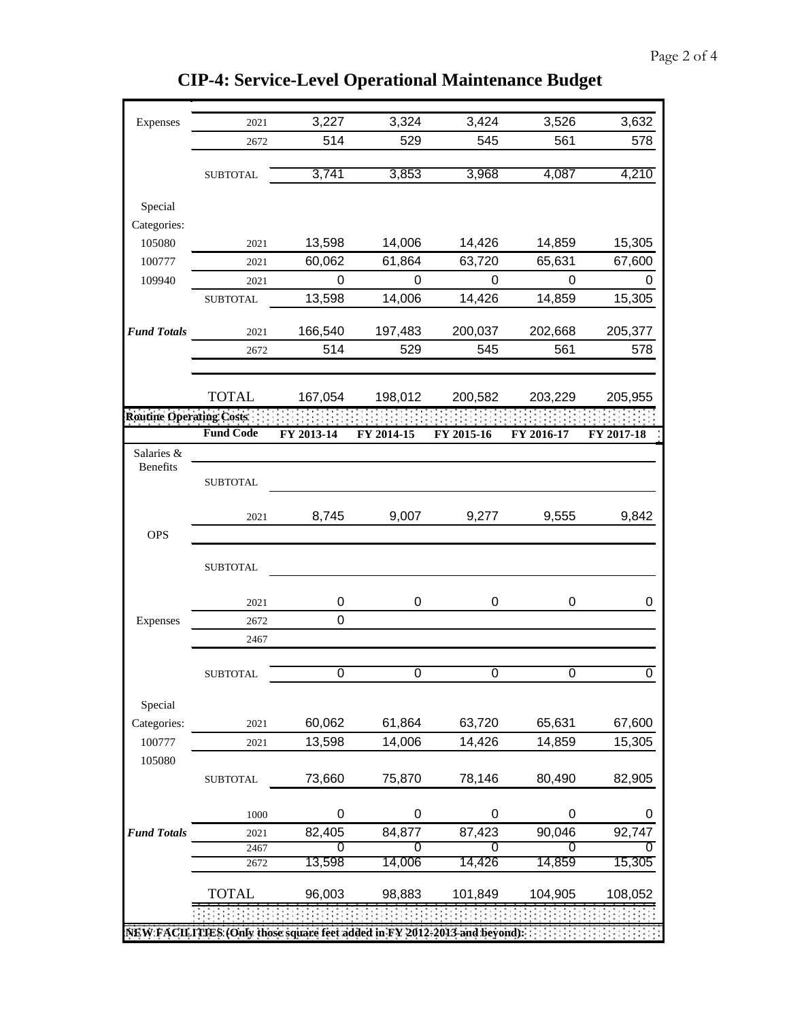| Expenses                        | 2021                                                                       | 3,227          | 3,324          | 3,424      | 3,526          | 3,632          |
|---------------------------------|----------------------------------------------------------------------------|----------------|----------------|------------|----------------|----------------|
|                                 | 2672                                                                       | 514            | 529            | 545        | 561            | 578            |
|                                 |                                                                            |                |                |            |                |                |
|                                 | <b>SUBTOTAL</b>                                                            | 3,741          | 3,853          | 3,968      | 4,087          | 4,210          |
| Special                         |                                                                            |                |                |            |                |                |
| Categories:                     |                                                                            |                |                |            |                |                |
| 105080                          | 2021                                                                       | 13,598         | 14,006         | 14,426     | 14,859         | 15,305         |
| 100777                          | 2021                                                                       | 60,062         | 61,864         | 63,720     | 65,631         | 67,600         |
| 109940                          | 2021                                                                       | $\Omega$       | $\Omega$       | $\Omega$   | $\Omega$       | 0              |
|                                 | <b>SUBTOTAL</b>                                                            | 13,598         | 14,006         | 14,426     | 14,859         | 15,305         |
| <b>Fund Totals</b>              |                                                                            | 166,540        |                | 200,037    | 202,668        |                |
|                                 | 2021<br>2672                                                               | 514            | 197,483<br>529 | 545        | 561            | 205,377<br>578 |
|                                 |                                                                            |                |                |            |                |                |
|                                 | <b>TOTAL</b>                                                               | 167,054        | 198,012        | 200,582    | 203,229        | 205,955        |
| <b>Routine Operating Costs:</b> |                                                                            |                |                |            |                |                |
|                                 | <b>Fund Code</b>                                                           | FY 2013-14     | FY 2014-15     | FY 2015-16 | FY 2016-17     | FY 2017-18     |
| Salaries &                      |                                                                            |                |                |            |                |                |
| Benefits                        | <b>SUBTOTAL</b>                                                            |                |                |            |                |                |
|                                 | 2021                                                                       | 8,745          | 9,007          | 9,277      | 9,555          | 9,842          |
| <b>OPS</b>                      |                                                                            |                |                |            |                |                |
|                                 | <b>SUBTOTAL</b>                                                            |                |                |            |                |                |
|                                 | 2021                                                                       | 0              | 0              | 0          | 0              | 0              |
| Expenses                        | 2672                                                                       | 0              |                |            |                |                |
|                                 | 2467                                                                       |                |                |            |                |                |
|                                 |                                                                            |                |                |            |                |                |
|                                 | <b>SUBTOTAL</b>                                                            | $\overline{0}$ | 0              | 0          | $\overline{0}$ | $\overline{0}$ |
| Special                         |                                                                            |                |                |            |                |                |
| Categories:                     | 2021                                                                       | 60,062         | 61,864         | 63,720     | 65,631         | 67,600         |
| 100777                          | 2021                                                                       | 13,598         | 14,006         | 14,426     | 14,859         | 15,305         |
| 105080                          |                                                                            |                |                |            |                |                |
|                                 | <b>SUBTOTAL</b>                                                            | 73,660         | 75,870         | 78,146     | 80,490         | 82,905         |
|                                 | 1000                                                                       | 0              | 0              | 0          | 0              | 0              |
| <b>Fund Totals</b>              | 2021                                                                       | 82,405         | 84,877         | 87,423     | 90,046         | 92,747         |
|                                 | 2467                                                                       | O              | O              | 0          |                |                |
|                                 | 2672                                                                       | 13,598         | 14,006         | 14,426     | 14,859         | 15,305         |
|                                 | <b>TOTAL</b>                                                               | 96,003         | 98,883         | 101,849    | 104,905        | 108,052        |
|                                 |                                                                            |                |                |            |                |                |
|                                 | NEW FACILITIES: (Only those square feet added in FY 2012-2013 and beyond): |                |                |            |                |                |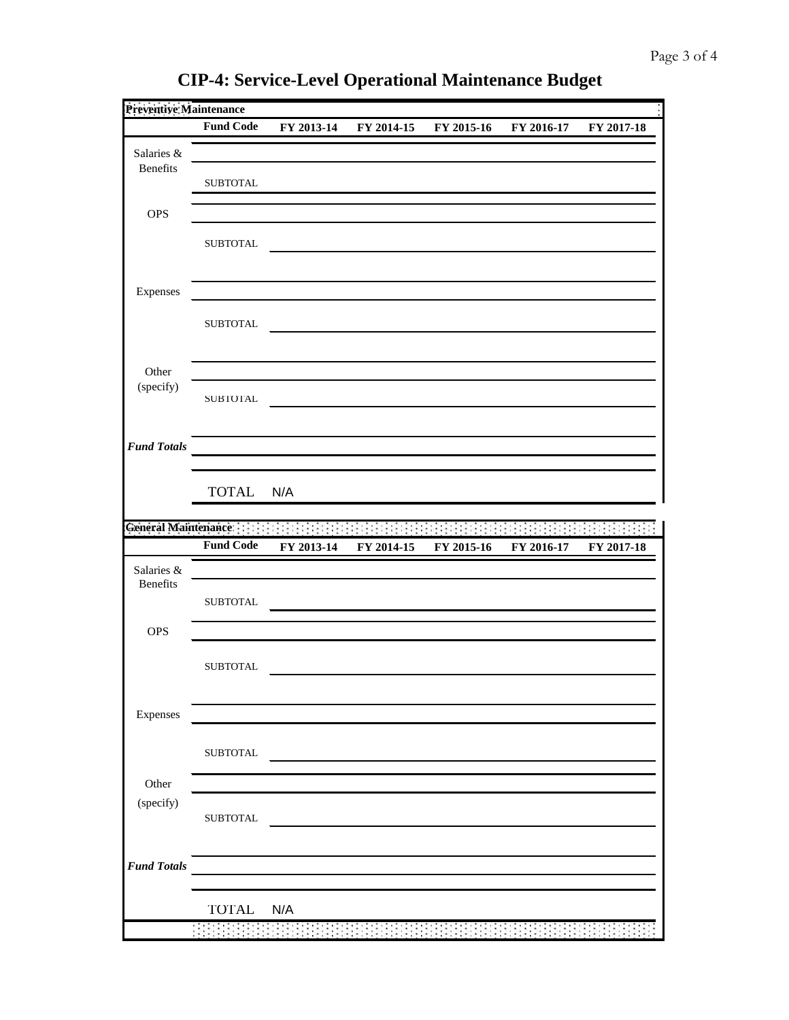| <b>Preventive Maintenance</b> |                  |                                                                                 |            |            |            |            |
|-------------------------------|------------------|---------------------------------------------------------------------------------|------------|------------|------------|------------|
|                               | <b>Fund Code</b> | FY 2013-14                                                                      | FY 2014-15 | FY 2015-16 | FY 2016-17 | FY 2017-18 |
| Salaries &                    |                  |                                                                                 |            |            |            |            |
| Benefits                      |                  |                                                                                 |            |            |            |            |
|                               | <b>SUBTOTAL</b>  |                                                                                 |            |            |            |            |
| <b>OPS</b>                    |                  |                                                                                 |            |            |            |            |
|                               | <b>SUBTOTAL</b>  |                                                                                 |            |            |            |            |
|                               |                  |                                                                                 |            |            |            |            |
|                               |                  |                                                                                 |            |            |            |            |
| Expenses                      |                  |                                                                                 |            |            |            |            |
|                               | <b>SUBTOTAL</b>  |                                                                                 |            |            |            |            |
|                               |                  |                                                                                 |            |            |            |            |
| Other                         |                  |                                                                                 |            |            |            |            |
| (specify)                     |                  |                                                                                 |            |            |            |            |
|                               | <b>SUBTOTAL</b>  |                                                                                 |            |            |            |            |
|                               |                  |                                                                                 |            |            |            |            |
| <b>Fund Totals</b>            |                  |                                                                                 |            |            |            |            |
|                               |                  |                                                                                 |            |            |            |            |
|                               | <b>TOTAL</b>     | N/A                                                                             |            |            |            |            |
|                               |                  |                                                                                 |            |            |            |            |
| General Maintenance:          | <b>Fund Code</b> |                                                                                 |            |            |            |            |
|                               |                  | FY 2013-14                                                                      | FY 2014-15 | FY 2015-16 | FY 2016-17 | FY 2017-18 |
| Salaries &<br><b>Benefits</b> |                  |                                                                                 |            |            |            |            |
|                               | <b>SUBTOTAL</b>  |                                                                                 |            |            |            |            |
|                               |                  |                                                                                 |            |            |            |            |
| <b>OPS</b>                    |                  |                                                                                 |            |            |            |            |
|                               | <b>SUBTOTAL</b>  |                                                                                 |            |            |            |            |
|                               |                  |                                                                                 |            |            |            |            |
| Expenses                      |                  |                                                                                 |            |            |            |            |
|                               |                  |                                                                                 |            |            |            |            |
|                               | ${\tt SUBTOTAL}$ |                                                                                 |            |            |            |            |
|                               |                  |                                                                                 |            |            |            |            |
| Other<br>(specify)            |                  |                                                                                 |            |            |            |            |
|                               | <b>SUBTOTAL</b>  |                                                                                 |            |            |            |            |
|                               |                  |                                                                                 |            |            |            |            |
| <b>Fund Totals</b>            |                  |                                                                                 |            |            |            |            |
|                               |                  | the contract of the contract of the contract of the contract of the contract of |            |            |            |            |
|                               | TOTAL N/A        |                                                                                 |            |            |            |            |
|                               |                  |                                                                                 |            |            |            |            |
|                               |                  | $\sim$                                                                          |            |            |            |            |

**CIP-4: Service-Level Operational Maintenance Budget**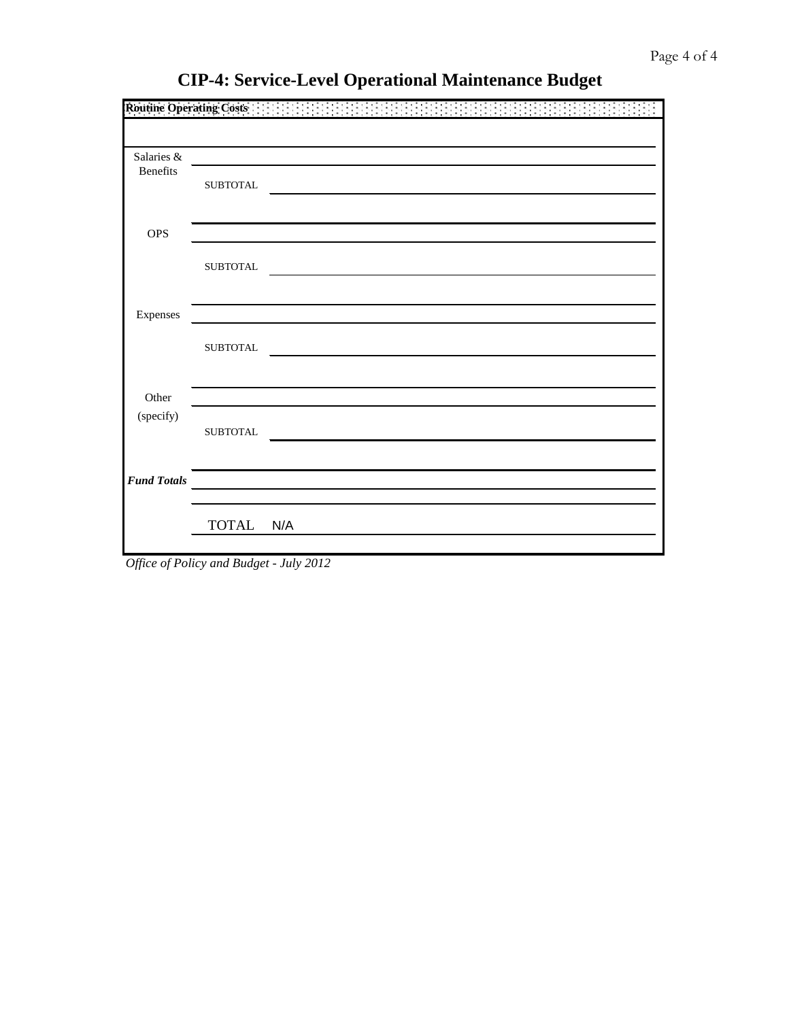| <b>Routine Operating Costs:</b> |                  |  |
|---------------------------------|------------------|--|
|                                 |                  |  |
| Salaries &                      |                  |  |
| Benefits                        | <b>SUBTOTAL</b>  |  |
|                                 |                  |  |
| <b>OPS</b>                      |                  |  |
|                                 | <b>SUBTOTAL</b>  |  |
|                                 |                  |  |
| Expenses                        |                  |  |
|                                 | ${\tt SUBTOTAL}$ |  |
|                                 |                  |  |
| Other                           |                  |  |
| (specify)                       |                  |  |
|                                 | <b>SUBTOTAL</b>  |  |
|                                 |                  |  |
| <b>Fund Totals</b>              |                  |  |
|                                 | TOTAL N/A        |  |
|                                 |                  |  |

*Office of Policy and Budget - July 2012*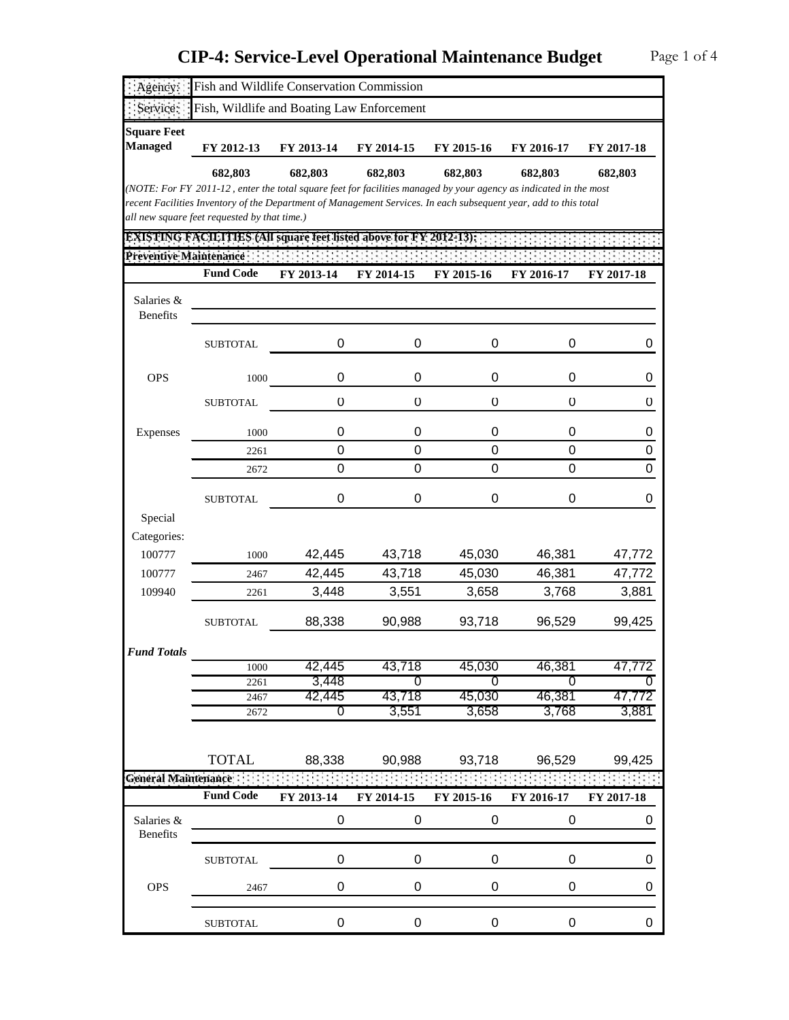| Agency:                              | Fish and Wildlife Conservation Commission                                                                                                                                                                                             |                 |                          |                 |                 |                 |
|--------------------------------------|---------------------------------------------------------------------------------------------------------------------------------------------------------------------------------------------------------------------------------------|-----------------|--------------------------|-----------------|-----------------|-----------------|
| Service:                             | Fish, Wildlife and Boating Law Enforcement                                                                                                                                                                                            |                 |                          |                 |                 |                 |
| <b>Square Feet</b><br><b>Managed</b> | FY 2012-13                                                                                                                                                                                                                            | FY 2013-14      | FY 2014-15               | FY 2015-16      | FY 2016-17      | FY 2017-18      |
|                                      | 682,803                                                                                                                                                                                                                               | 682,803         | 682,803                  | 682,803         | 682,803         | 682,803         |
|                                      | (NOTE: For FY 2011-12, enter the total square feet for facilities managed by your agency as indicated in the most<br>recent Facilities Inventory of the Department of Management Services. In each subsequent year, add to this total |                 |                          |                 |                 |                 |
|                                      | all new square feet requested by that time.)                                                                                                                                                                                          |                 |                          |                 |                 |                 |
|                                      | <b>EXISTING FACILITIES (All square feet listed above for FY 2012-13):</b>                                                                                                                                                             |                 |                          |                 |                 |                 |
| Preventive Maintenance               |                                                                                                                                                                                                                                       |                 |                          |                 |                 |                 |
|                                      | <b>Fund Code</b>                                                                                                                                                                                                                      | FY 2013-14      | FY 2014-15               | FY 2015-16      | FY 2016-17      | FY 2017-18      |
| Salaries &<br>Benefits               |                                                                                                                                                                                                                                       |                 |                          |                 |                 |                 |
|                                      | <b>SUBTOTAL</b>                                                                                                                                                                                                                       | 0               | 0                        | 0               | 0               | 0               |
| <b>OPS</b>                           | 1000                                                                                                                                                                                                                                  | 0               | 0                        | 0               | 0               | 0               |
|                                      | <b>SUBTOTAL</b>                                                                                                                                                                                                                       | $\cup$          | $\cup$                   | $\mathsf{U}$    | O               | U               |
| Expenses                             | 1000                                                                                                                                                                                                                                  | 0               | 0                        | 0               | 0               | 0               |
|                                      | 2261                                                                                                                                                                                                                                  | 0               | 0                        | 0               | 0               | 0               |
|                                      | 2672                                                                                                                                                                                                                                  | $\Omega$        | 0                        | $\Omega$        | 0               | 0               |
|                                      | <b>SUBTOTAL</b>                                                                                                                                                                                                                       | 0               | 0                        | 0               | 0               | 0               |
| Special                              |                                                                                                                                                                                                                                       |                 |                          |                 |                 |                 |
| Categories:                          |                                                                                                                                                                                                                                       |                 |                          |                 |                 |                 |
| 100777                               | 1000                                                                                                                                                                                                                                  | 42,445          | 43,718                   | 45,030          | 46,381          | 47,772          |
| 100777<br>109940                     | 2467                                                                                                                                                                                                                                  | 42,445<br>3,448 | 43,718<br>3,551          | 45,030<br>3,658 | 46,381<br>3,768 | 47,772<br>3,881 |
|                                      | 2261                                                                                                                                                                                                                                  |                 |                          |                 |                 |                 |
|                                      | <b>SUBTOTAL</b>                                                                                                                                                                                                                       | 88,338          | 90,988                   | 93,718          | 96,529          | 99,425          |
| <b>Fund Totals</b>                   |                                                                                                                                                                                                                                       |                 |                          |                 |                 |                 |
|                                      | 1000<br>2261                                                                                                                                                                                                                          | 42,445<br>3,448 | 43,718<br>$\overline{0}$ | 45,030<br>0     | 46,381<br>0     | 47,772<br>0     |
|                                      | 2467                                                                                                                                                                                                                                  | 42,445          | 43,718                   | 45,030          | 46,381          | 47,772          |
|                                      | 2672                                                                                                                                                                                                                                  | 0               | 3,551                    | 3,658           | 3,768           | 3,881           |
|                                      |                                                                                                                                                                                                                                       |                 |                          |                 |                 |                 |
|                                      | <b>TOTAL</b>                                                                                                                                                                                                                          | 88,338          | 90,988                   | 93,718          | 96,529          | 99,425          |
| General Maintenance                  |                                                                                                                                                                                                                                       |                 |                          |                 |                 |                 |
|                                      | <b>Fund Code</b>                                                                                                                                                                                                                      | FY 2013-14      | FY 2014-15               | FY 2015-16      | FY 2016-17      | FY 2017-18      |
| Salaries &<br>Benefits               |                                                                                                                                                                                                                                       | 0               | 0                        | 0               | 0               | 0               |
|                                      | <b>SUBTOTAL</b>                                                                                                                                                                                                                       | 0               | $\mathbf 0$              | 0               | 0               | 0               |
| <b>OPS</b>                           | 2467                                                                                                                                                                                                                                  | 0               | 0                        | 0               | 0               | 0               |
|                                      | <b>SUBTOTAL</b>                                                                                                                                                                                                                       | 0               | 0                        | $\pmb{0}$       | 0               | 0               |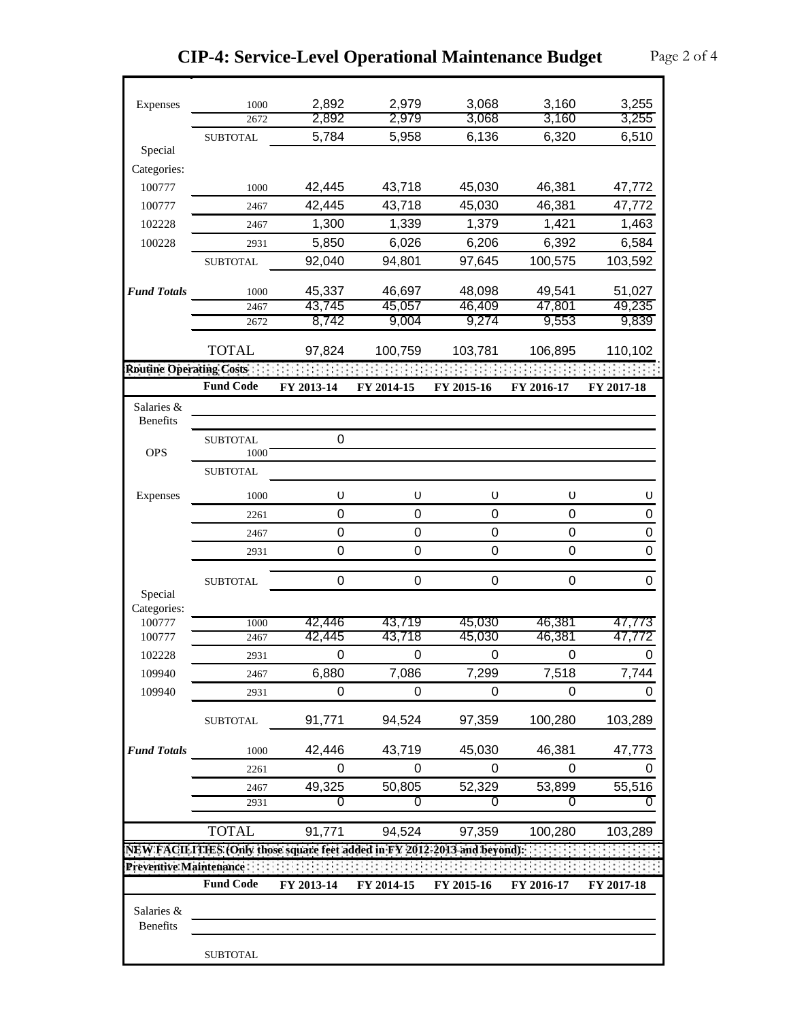| Expenses                       | 1000                                                                      | 2,892       | 2,979       | 3,068            | 3,160            | 3,255            |
|--------------------------------|---------------------------------------------------------------------------|-------------|-------------|------------------|------------------|------------------|
|                                | 2672                                                                      | 2,892       | 2,979       | 3,068            | 3,160            | 3,255            |
|                                | <b>SUBTOTAL</b>                                                           | 5,784       | 5,958       | 6,136            | 6,320            | 6,510            |
| Special                        |                                                                           |             |             |                  |                  |                  |
| Categories:                    |                                                                           |             |             |                  |                  |                  |
| 100777                         | 1000                                                                      | 42,445      | 43,718      | 45,030           | 46,381           | 47,772           |
| 100777                         | 2467                                                                      | 42,445      | 43,718      | 45,030           | 46,381           | 47,772           |
| 102228                         | 2467                                                                      | 1,300       | 1,339       | 1,379            | 1,421            | 1,463            |
| 100228                         | 2931                                                                      | 5,850       | 6,026       | 6,206            | 6,392            | 6,584            |
|                                | <b>SUBTOTAL</b>                                                           | 92,040      | 94,801      | 97,645           | 100,575          | 103,592          |
|                                |                                                                           |             |             |                  |                  |                  |
| <b>Fund Totals</b>             | 1000                                                                      | 45,337      | 46,697      | 48,098           | 49,541           | 51,027           |
|                                | 2467                                                                      | 43,745      | 45,057      | 46,409           | 47,801           | 49,235           |
|                                | 2672                                                                      | 8,742       | 9,004       | 9,274            | 9,553            | 9,839            |
|                                |                                                                           |             |             |                  |                  |                  |
|                                | <b>TOTAL</b>                                                              | 97,824      | 100,759     | 103,781          | 106,895          | 110,102          |
| <b>Routine Operating Costs</b> |                                                                           |             |             |                  |                  |                  |
|                                | <b>Fund Code</b>                                                          | FY 2013-14  | FY 2014-15  | FY 2015-16       | FY 2016-17       | FY 2017-18       |
| Salaries &                     |                                                                           |             |             |                  |                  |                  |
| <b>Benefits</b>                |                                                                           |             |             |                  |                  |                  |
|                                | <b>SUBTOTAL</b>                                                           | 0           |             |                  |                  |                  |
| <b>OPS</b>                     | 1000                                                                      |             |             |                  |                  |                  |
|                                | <b>SUBTOTAL</b>                                                           |             |             |                  |                  |                  |
| Expenses                       | 1000                                                                      | O           | $\cup$      | U                | U                | U                |
|                                | 2261                                                                      | $\Omega$    | 0           | 0                | 0                | 0                |
|                                | 2467                                                                      | $\mathbf 0$ | 0           | 0                | $\boldsymbol{0}$ | $\mathbf 0$      |
|                                | 2931                                                                      | $\mathbf 0$ | 0           | $\Omega$         | $\mathbf 0$      | $\boldsymbol{0}$ |
|                                |                                                                           |             |             |                  |                  |                  |
|                                | <b>SUBTOTAL</b>                                                           | $\mathbf 0$ | 0           | 0                | $\boldsymbol{0}$ | 0                |
| Special                        |                                                                           |             |             |                  |                  |                  |
| Categories:<br>100777          | 1000                                                                      | 42,446      | 43,719      | 45,030           | 46,381           | 47.773           |
| 100777                         | 2467                                                                      | 42,445      | 43,718      | 45,030           | 46,381           | 47,772           |
| 102228                         | 2931                                                                      | $\mathbf 0$ | $\mathbf 0$ | $\boldsymbol{0}$ | $\mathbf 0$      | 0                |
| 109940                         |                                                                           | 6,880       | 7,086       | 7,299            | 7,518            | 7,744            |
|                                | 2467                                                                      | $\Omega$    | $\Omega$    | 0                |                  |                  |
| 109940                         | 2931                                                                      |             |             |                  | 0                | 0                |
|                                | <b>SUBTOTAL</b>                                                           | 91,771      | 94,524      | 97,359           | 100,280          | 103,289          |
|                                |                                                                           |             |             |                  |                  |                  |
| <b>Fund Totals</b>             | 1000                                                                      | 42,446      | 43,719      | 45,030           | 46,381           | 47,773           |
|                                | 2261                                                                      | 0           | 0           | $\Omega$         | 0                | 0                |
|                                | 2467                                                                      | 49,325      | 50,805      | 52,329           | 53,899           | 55,516           |
|                                | 2931                                                                      | 0           | 0           | 0                | 0                | 0                |
|                                |                                                                           |             |             |                  |                  |                  |
|                                | <b>TOTAL</b>                                                              | 91,771      | 94,524      | 97,359           | 100,280          | 103,289          |
|                                | NEW FACILITIES (Only those square feet added in FY 2012-2013 and beyond): |             |             |                  |                  |                  |
| Preventive Maintenance:        |                                                                           |             |             |                  |                  |                  |
|                                | <b>Fund Code</b>                                                          | FY 2013-14  | FY 2014-15  | FY 2015-16       | FY 2016-17       | FY 2017-18       |
| Salaries &                     |                                                                           |             |             |                  |                  |                  |
| Benefits                       |                                                                           |             |             |                  |                  |                  |
|                                |                                                                           |             |             |                  |                  |                  |

 $\mathbf{r}$ 

SUBTOTAL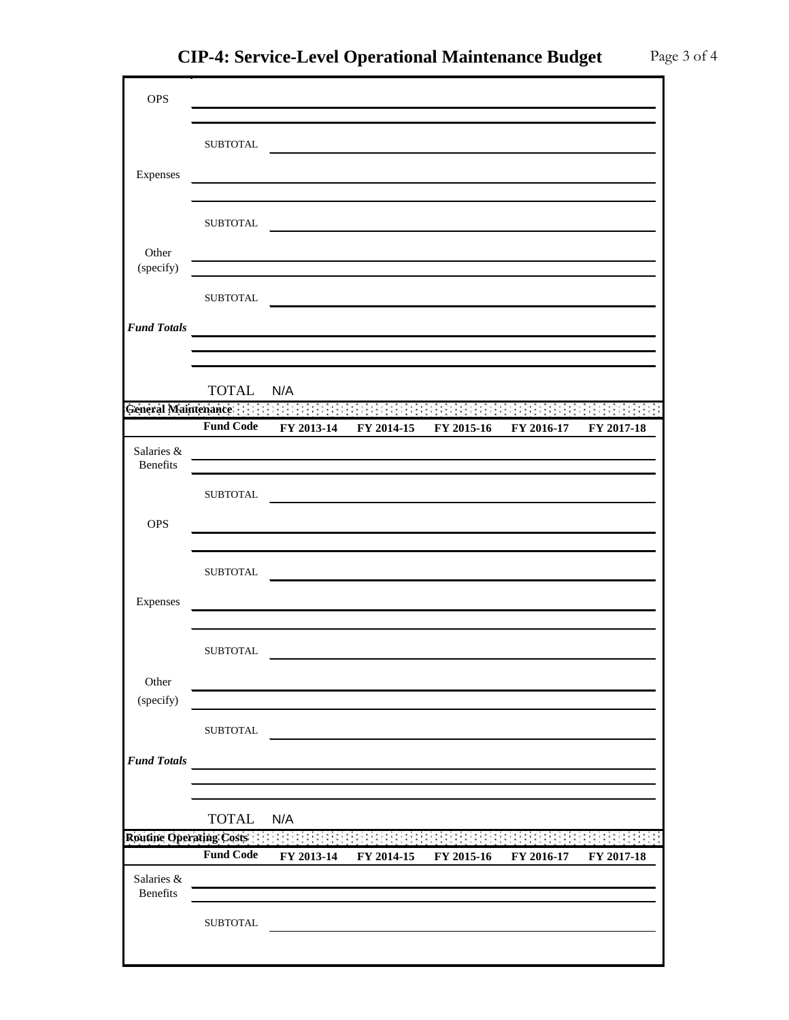OPS

| ce-Level Operational Maintenance Budget |  |
|-----------------------------------------|--|
|                                         |  |
|                                         |  |
|                                         |  |
|                                         |  |

|                         | <b>SUBTOTAL</b>  |                                                           |            |                                                                                                                       |            |            |
|-------------------------|------------------|-----------------------------------------------------------|------------|-----------------------------------------------------------------------------------------------------------------------|------------|------------|
| Expenses                |                  |                                                           |            |                                                                                                                       |            |            |
|                         |                  |                                                           |            |                                                                                                                       |            |            |
|                         |                  |                                                           |            |                                                                                                                       |            |            |
|                         | <b>SUBTOTAL</b>  |                                                           |            |                                                                                                                       |            |            |
| Other                   |                  |                                                           |            |                                                                                                                       |            |            |
| (specify)               |                  |                                                           |            |                                                                                                                       |            |            |
|                         | <b>SUBTOTAL</b>  |                                                           |            |                                                                                                                       |            |            |
|                         |                  |                                                           |            |                                                                                                                       |            |            |
| <b>Fund Totals</b>      |                  | <u> 1989 - Johann Barnett, fransk politiker (d. 1989)</u> |            |                                                                                                                       |            |            |
|                         |                  |                                                           |            |                                                                                                                       |            |            |
|                         |                  |                                                           |            |                                                                                                                       |            |            |
|                         | <b>TOTAL</b>     | N/A                                                       |            |                                                                                                                       |            |            |
| General Maintenance     |                  | di l                                                      |            |                                                                                                                       |            |            |
|                         | <b>Fund Code</b> | FY 2013-14                                                | FY 2014-15 | FY 2015-16                                                                                                            | FY 2016-17 | FY 2017-18 |
| Salaries &              |                  |                                                           |            |                                                                                                                       |            |            |
| Benefits                |                  |                                                           |            |                                                                                                                       |            |            |
|                         | <b>SUBTOTAL</b>  |                                                           |            |                                                                                                                       |            |            |
| <b>OPS</b>              |                  |                                                           |            |                                                                                                                       |            |            |
|                         |                  |                                                           |            |                                                                                                                       |            |            |
|                         |                  |                                                           |            |                                                                                                                       |            |            |
|                         | <b>SUBTOTAL</b>  |                                                           |            | <u> 1989 - Johann Harry Barn, mars ar breist fan de Amerikaanske kommunenter fan de Amerikaanske kommunente fan d</u> |            |            |
| Expenses                |                  |                                                           |            |                                                                                                                       |            |            |
|                         |                  |                                                           |            |                                                                                                                       |            |            |
|                         |                  |                                                           |            |                                                                                                                       |            |            |
|                         | ${\tt SUBTOTAL}$ |                                                           |            |                                                                                                                       |            |            |
| Other                   |                  |                                                           |            |                                                                                                                       |            |            |
| (specify)               |                  |                                                           |            |                                                                                                                       |            |            |
|                         |                  |                                                           |            |                                                                                                                       |            |            |
|                         | <b>SUBTOTAL</b>  |                                                           |            |                                                                                                                       |            |            |
| <b>Fund Totals</b>      |                  |                                                           |            |                                                                                                                       |            |            |
|                         |                  |                                                           |            |                                                                                                                       |            |            |
|                         |                  |                                                           |            |                                                                                                                       |            |            |
|                         | <b>TOTAL</b>     | N/A                                                       |            |                                                                                                                       |            |            |
| Routine Operating Costs |                  |                                                           |            |                                                                                                                       |            |            |
|                         | <b>Fund Code</b> | FY 2013-14                                                | FY 2014-15 | FY 2015-16                                                                                                            | FY 2016-17 | FY 2017-18 |
| Salaries &              |                  |                                                           |            |                                                                                                                       |            |            |
| Benefits                |                  |                                                           |            |                                                                                                                       |            |            |
|                         | <b>SUBTOTAL</b>  |                                                           |            |                                                                                                                       |            |            |
|                         |                  |                                                           |            |                                                                                                                       |            |            |
|                         |                  |                                                           |            |                                                                                                                       |            |            |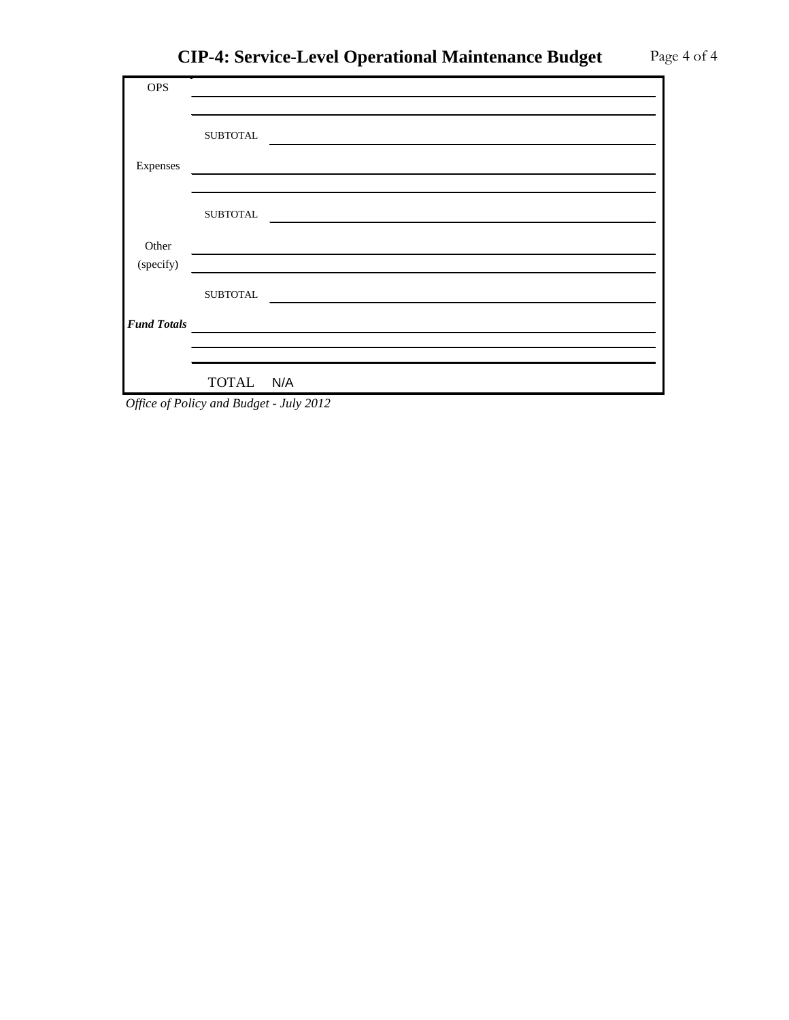| <b>OPS</b>         |                  |  |
|--------------------|------------------|--|
|                    |                  |  |
|                    | <b>SUBTOTAL</b>  |  |
| Expenses           |                  |  |
|                    |                  |  |
|                    | <b>SUBTOTAL</b>  |  |
| Other              |                  |  |
| (specify)          |                  |  |
|                    | ${\tt SUBTOTAL}$ |  |
| <b>Fund Totals</b> |                  |  |
|                    |                  |  |
|                    |                  |  |
|                    | TOTAL N/A        |  |

*Office of Policy and Budget - July 2012*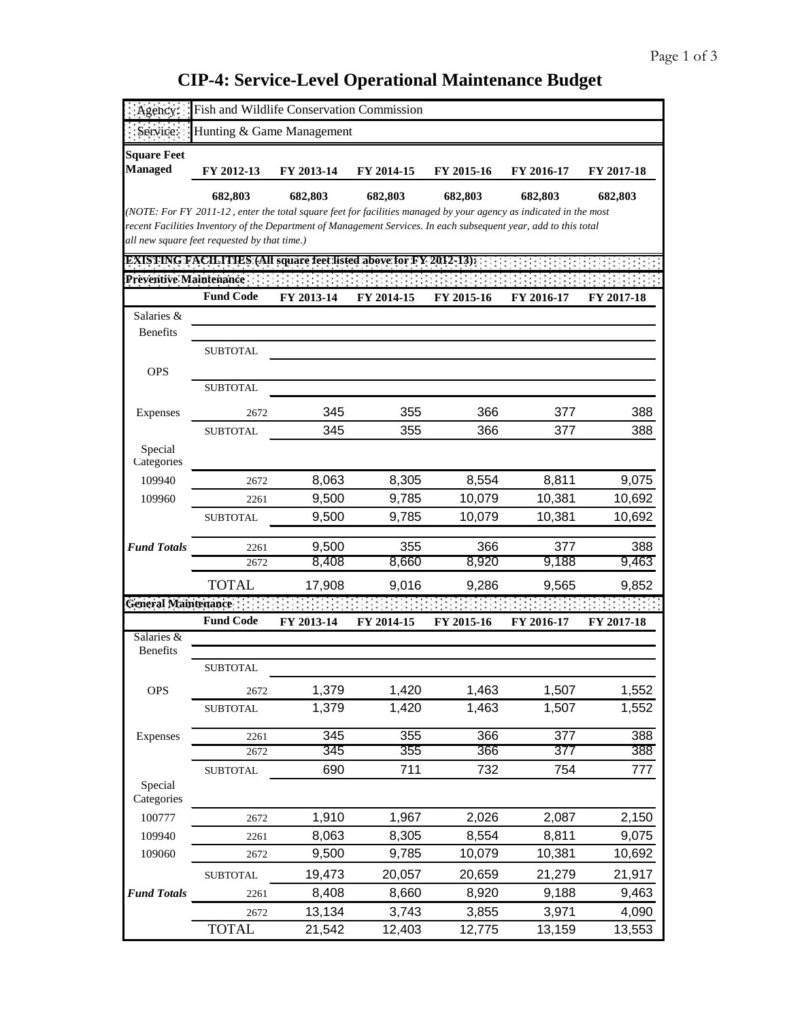| Agency                               | Fish and Wildlife Conservation Commission                                                                                                                        |            |            |            |            |            |
|--------------------------------------|------------------------------------------------------------------------------------------------------------------------------------------------------------------|------------|------------|------------|------------|------------|
|                                      | Hunting & Game Management                                                                                                                                        |            |            |            |            |            |
| <b>Square Feet</b><br><b>Managed</b> | FY 2012-13                                                                                                                                                       | FY 2013-14 | FY 2014-15 | FY 2015-16 | FY 2016-17 | FY 2017-18 |
|                                      | 682,803                                                                                                                                                          | 682,803    | 682,803    | 682,803    | 682,803    | 682,803    |
|                                      | (NOTE: For FY 2011-12, enter the total square feet for facilities managed by your agency as indicated in the most                                                |            |            |            |            |            |
|                                      | recent Facilities Inventory of the Department of Management Services. In each subsequent year, add to this total<br>all new square feet requested by that time.) |            |            |            |            |            |
|                                      | <b>EXISTING FACILITIES (All square feet listed above for FY 2012-13):</b>                                                                                        |            |            |            |            |            |
| <b>Preventive Maintenance:</b>       |                                                                                                                                                                  |            |            |            |            |            |
|                                      | <b>Fund Code</b>                                                                                                                                                 | FY 2013-14 | FY 2014-15 | FY 2015-16 | FY 2016-17 | FY 2017-18 |
| Salaries &<br>Benefits               |                                                                                                                                                                  |            |            |            |            |            |
|                                      | <b>SUBTOTAL</b>                                                                                                                                                  |            |            |            |            |            |
| <b>OPS</b>                           |                                                                                                                                                                  |            |            |            |            |            |
|                                      | <b>SUBTOTAL</b>                                                                                                                                                  |            |            |            |            |            |
| Expenses                             | 2672                                                                                                                                                             | 345        | 355        | 366        | 377        | 388        |
|                                      | <b>SUBTOTAL</b>                                                                                                                                                  | 345        | 355        | 366        | 377        | 388        |
| Special<br>Categories                |                                                                                                                                                                  |            |            |            |            |            |
| 109940                               | 2672                                                                                                                                                             | 8,063      | 8,305      | 8,554      | 8,811      | 9,075      |
| 109960                               | 2261                                                                                                                                                             | 9,500      | 9,785      | 10,079     | 10,381     | 10,692     |
|                                      | <b>SUBTOTAL</b>                                                                                                                                                  | 9,500      | 9,785      | 10,079     | 10,381     | 10,692     |
| <b>Fund Totals</b>                   | 2261                                                                                                                                                             | 9,500      | 355        | 366        | 377        | 388        |
|                                      | 2672                                                                                                                                                             | 8,408      | 8,660      | 8,920      | 9,188      | 9,463      |
|                                      | <b>TOTAL</b>                                                                                                                                                     | 17,908     | 9,016      | 9,286      | 9,565      | 9,852      |
| <b>General Maintenance</b>           |                                                                                                                                                                  |            |            |            |            |            |
|                                      | <b>Fund Code</b>                                                                                                                                                 | FY 2013-14 | FY 2014-15 | FY 2015-16 | FY 2016-17 | FY 2017-18 |
| Salaries &<br><b>Benefits</b>        |                                                                                                                                                                  |            |            |            |            |            |
|                                      | <b>SUBTOTAL</b>                                                                                                                                                  |            |            |            |            |            |
| <b>OPS</b>                           | 2672                                                                                                                                                             | 1,379      | 1,420      | 1,463      | 1,507      | 1,552      |
|                                      | <b>SUBTOTAL</b>                                                                                                                                                  | 1,379      | 1,420      | 1,463      | 1,507      | 1,552      |
| Expenses                             | 2261                                                                                                                                                             | 345        | 355        | 366        | 377        | 388        |
|                                      | 2672                                                                                                                                                             | 345        | 355        | 366        | 377        | 388        |
|                                      | <b>SUBTOTAL</b>                                                                                                                                                  | 690        | 711        | 732        | 754        | 777        |
| Special<br>Categories                |                                                                                                                                                                  |            |            |            |            |            |
| 100777                               | 2672                                                                                                                                                             | 1,910      | 1,967      | 2,026      | 2,087      | 2,150      |
| 109940                               | 2261                                                                                                                                                             | 8,063      | 8,305      | 8,554      | 8,811      | 9,075      |
| 109060                               | 2672                                                                                                                                                             | 9,500      | 9,785      | 10,079     | 10,381     | 10,692     |
|                                      | <b>SUBTOTAL</b>                                                                                                                                                  | 19,473     | 20,057     | 20,659     | 21,279     | 21,917     |
| <b>Fund Totals</b>                   | 2261                                                                                                                                                             | 8,408      | 8,660      | 8,920      | 9,188      | 9,463      |
|                                      | 2672                                                                                                                                                             | 13,134     | 3,743      | 3,855      | 3,971      | 4,090      |
|                                      | <b>TOTAL</b>                                                                                                                                                     | 21,542     | 12,403     | 12,775     | 13,159     | 13,553     |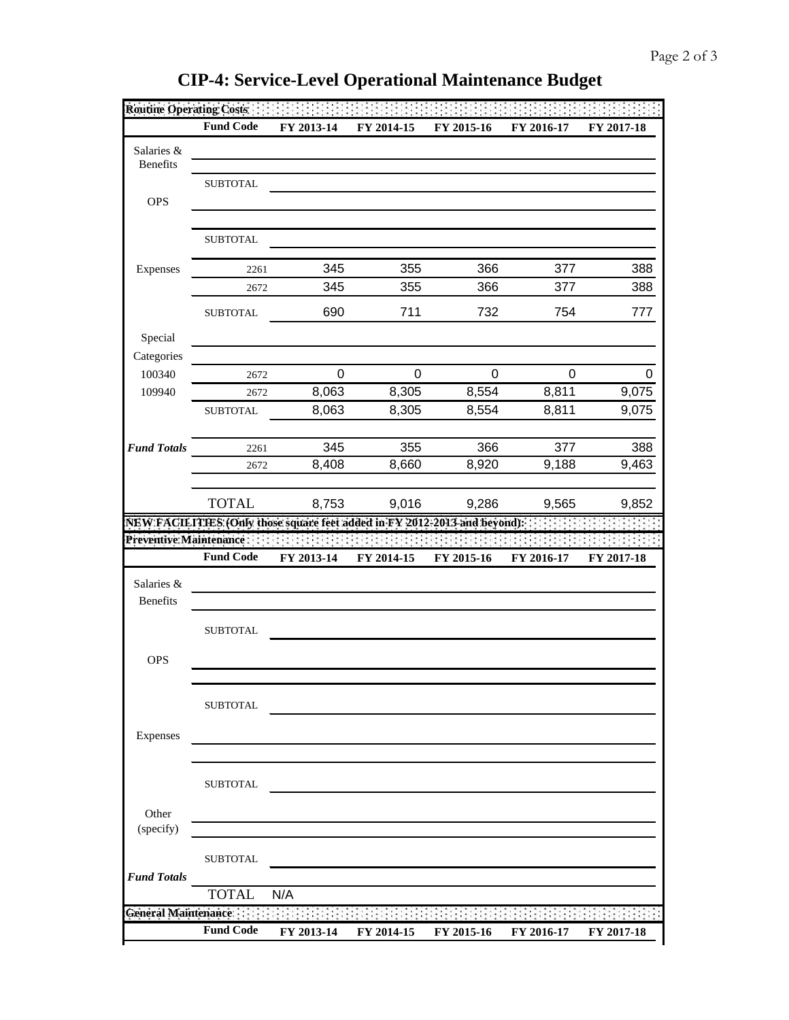|                        | <b>Fund Code</b>        | FY 2013-14                                                                | FY 2014-15 | FY 2015-16 | FY 2016-17 | FY 2017-18 |
|------------------------|-------------------------|---------------------------------------------------------------------------|------------|------------|------------|------------|
| Salaries &             |                         |                                                                           |            |            |            |            |
| <b>Benefits</b>        |                         |                                                                           |            |            |            |            |
|                        | <b>SUBTOTAL</b>         |                                                                           |            |            |            |            |
| <b>OPS</b>             |                         |                                                                           |            |            |            |            |
|                        |                         |                                                                           |            |            |            |            |
|                        | <b>SUBTOTAL</b>         |                                                                           |            |            |            |            |
| Expenses               | 2261                    | 345                                                                       | 355        | 366        | 377        | 388        |
|                        | 2672                    | 345                                                                       | 355        | 366        | 377        | 388        |
|                        | <b>SUBTOTAL</b>         | 690                                                                       | 711        | 732        | 754        | 777        |
| Special                |                         |                                                                           |            |            |            |            |
| Categories             |                         |                                                                           |            |            |            |            |
| 100340                 | 2672                    | 0                                                                         | 0          | 0          | 0          | Ω          |
| 109940                 | 2672                    | 8,063                                                                     | 8,305      | 8,554      | 8,811      | 9,075      |
|                        | <b>SUBTOTAL</b>         | 8,063                                                                     | 8,305      | 8,554      | 8,811      | 9,075      |
|                        |                         |                                                                           |            |            |            |            |
| <b>Fund Totals</b>     | 2261                    | 345                                                                       | 355        | 366        | 377        | 388        |
|                        | 2672                    | 8,408                                                                     | 8,660      | 8,920      | 9,188      | 9,463      |
|                        |                         |                                                                           |            |            |            |            |
|                        | <b>TOTAL</b>            | 8,753                                                                     | 9,016      | 9,286      | 9,565      | 9,852      |
|                        |                         | NEW FACILITIES (Only those square feet added in FY 2012-2013 and beyond): |            |            |            |            |
|                        | Preventive Maintenance: | $\sim$                                                                    |            |            |            |            |
|                        | <b>Fund Code</b>        | FY 2013-14                                                                | FY 2014-15 | FY 2015-16 | FY 2016-17 | FY 2017-18 |
| Salaries &             |                         |                                                                           |            |            |            |            |
| <b>Benefits</b>        |                         |                                                                           |            |            |            |            |
|                        |                         |                                                                           |            |            |            |            |
|                        |                         |                                                                           |            |            |            |            |
|                        | <b>SUBTOTAL</b>         |                                                                           |            |            |            |            |
| <b>OPS</b>             |                         |                                                                           |            |            |            |            |
|                        |                         |                                                                           |            |            |            |            |
|                        |                         |                                                                           |            |            |            |            |
|                        | <b>SUBTOTAL</b>         |                                                                           |            |            |            |            |
| Expenses               |                         |                                                                           |            |            |            |            |
|                        |                         |                                                                           |            |            |            |            |
|                        |                         |                                                                           |            |            |            |            |
|                        | <b>SUBTOTAL</b>         |                                                                           |            |            |            |            |
| Other                  |                         |                                                                           |            |            |            |            |
| (specify)              |                         |                                                                           |            |            |            |            |
|                        |                         |                                                                           |            |            |            |            |
|                        | <b>SUBTOTAL</b>         |                                                                           |            |            |            |            |
| <b>Fund Totals</b>     |                         |                                                                           |            |            |            |            |
| General Maintenance :: | <b>TOTAL</b>            | N/A                                                                       |            |            |            |            |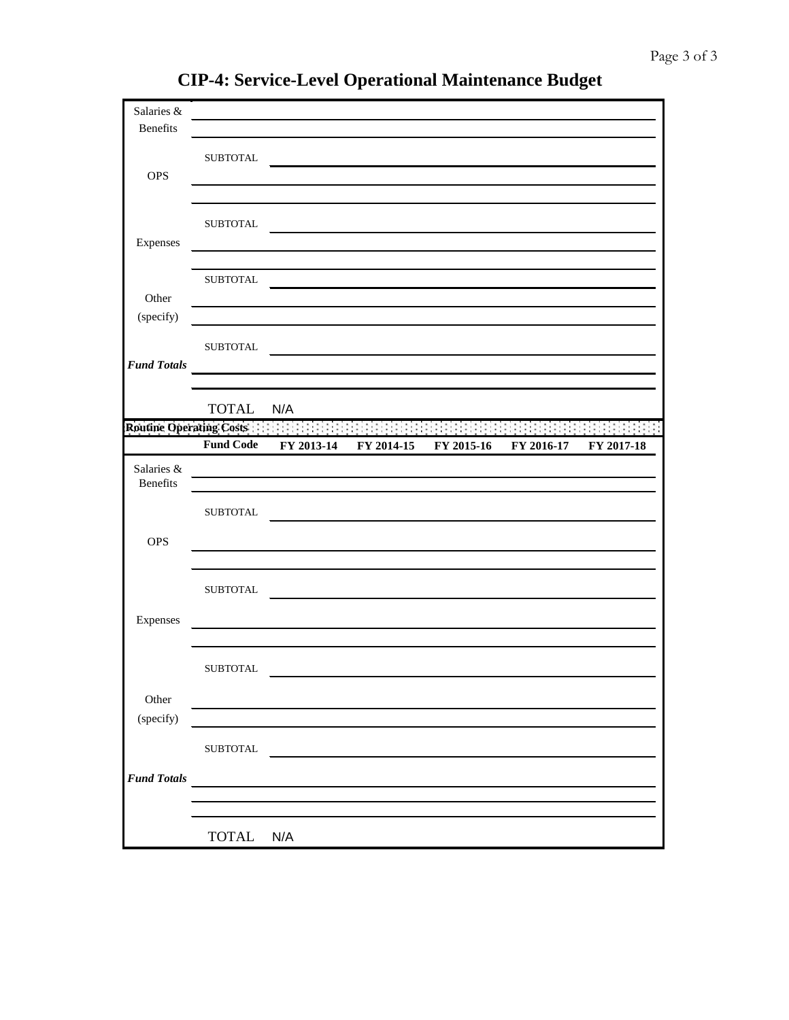| Salaries &                     |                  |            |                                                                                                                                                                                                                               |            |            |            |
|--------------------------------|------------------|------------|-------------------------------------------------------------------------------------------------------------------------------------------------------------------------------------------------------------------------------|------------|------------|------------|
| Benefits                       |                  |            |                                                                                                                                                                                                                               |            |            |            |
|                                | <b>SUBTOTAL</b>  |            |                                                                                                                                                                                                                               |            |            |            |
| <b>OPS</b>                     |                  |            |                                                                                                                                                                                                                               |            |            |            |
|                                |                  |            |                                                                                                                                                                                                                               |            |            |            |
|                                |                  |            |                                                                                                                                                                                                                               |            |            |            |
|                                | ${\tt SUBTOTAL}$ |            |                                                                                                                                                                                                                               |            |            |            |
| Expenses                       |                  |            |                                                                                                                                                                                                                               |            |            |            |
|                                | ${\tt SUBTOTAL}$ |            |                                                                                                                                                                                                                               |            |            |            |
| Other                          |                  |            |                                                                                                                                                                                                                               |            |            |            |
| (specify)                      |                  |            |                                                                                                                                                                                                                               |            |            |            |
|                                |                  |            |                                                                                                                                                                                                                               |            |            |            |
|                                | ${\tt SUBTOTAL}$ |            | the control of the control of the control of the control of the control of the control of the control of the control of the control of the control of the control of the control of the control of the control of the control |            |            |            |
| <b>Fund Totals</b>             |                  |            |                                                                                                                                                                                                                               |            |            |            |
|                                |                  |            |                                                                                                                                                                                                                               |            |            |            |
|                                | <b>TOTAL</b>     | N/A        |                                                                                                                                                                                                                               |            |            |            |
| <b>Routine Operating Costs</b> |                  |            |                                                                                                                                                                                                                               |            |            |            |
|                                | <b>Fund Code</b> | FY 2013-14 | FY 2014-15                                                                                                                                                                                                                    | FY 2015-16 | FY 2016-17 | FY 2017-18 |
| Salaries &                     |                  |            |                                                                                                                                                                                                                               |            |            |            |
| Benefits                       |                  |            |                                                                                                                                                                                                                               |            |            |            |
|                                | <b>SUBTOTAL</b>  |            |                                                                                                                                                                                                                               |            |            |            |
|                                |                  |            |                                                                                                                                                                                                                               |            |            |            |
| <b>OPS</b>                     |                  |            |                                                                                                                                                                                                                               |            |            |            |
|                                |                  |            |                                                                                                                                                                                                                               |            |            |            |
|                                | <b>SUBTOTAL</b>  |            |                                                                                                                                                                                                                               |            |            |            |
|                                |                  |            |                                                                                                                                                                                                                               |            |            |            |
| Expenses                       |                  |            |                                                                                                                                                                                                                               |            |            |            |
|                                |                  |            |                                                                                                                                                                                                                               |            |            |            |
|                                | <b>SUBTOTAL</b>  |            |                                                                                                                                                                                                                               |            |            |            |
|                                |                  |            |                                                                                                                                                                                                                               |            |            |            |
| Other                          |                  |            |                                                                                                                                                                                                                               |            |            |            |
| (specify)                      |                  |            |                                                                                                                                                                                                                               |            |            |            |
|                                | <b>SUBTOTAL</b>  |            |                                                                                                                                                                                                                               |            |            |            |
| <b>Fund Totals</b>             |                  |            |                                                                                                                                                                                                                               |            |            |            |
|                                |                  |            |                                                                                                                                                                                                                               |            |            |            |
|                                |                  |            |                                                                                                                                                                                                                               |            |            |            |
|                                | <b>TOTAL</b>     | N/A        |                                                                                                                                                                                                                               |            |            |            |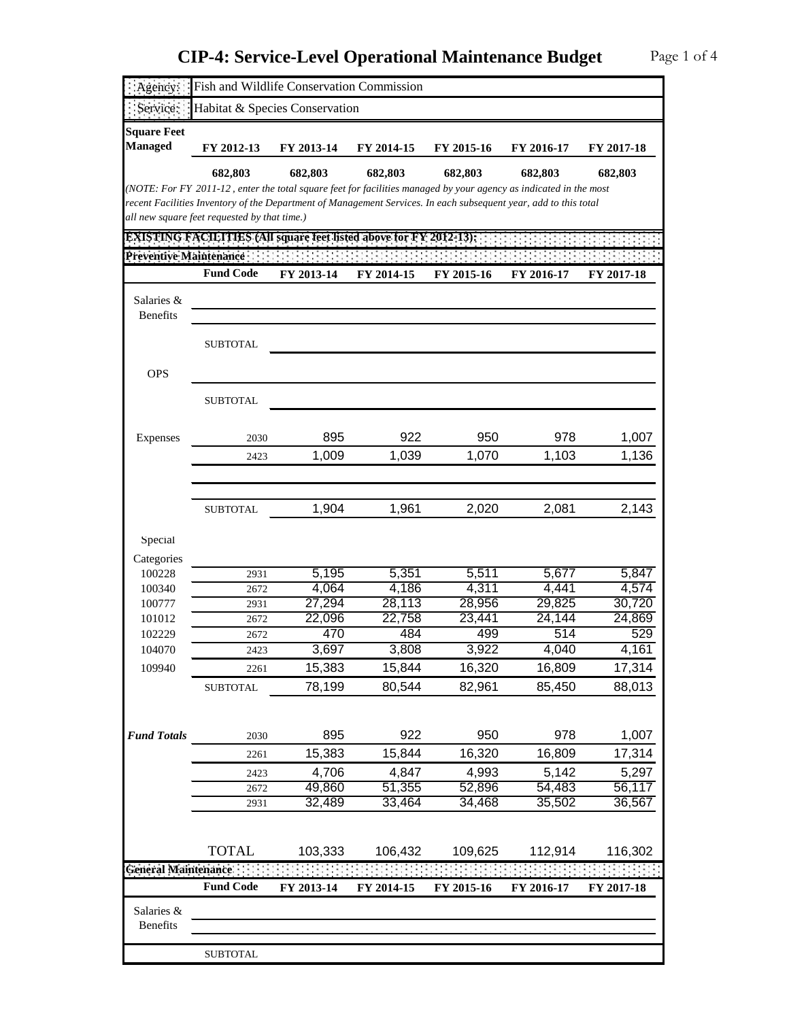| : Agency:                            | Fish and Wildlife Conservation Commission                                                                                                                        |                |                |                |                |                |
|--------------------------------------|------------------------------------------------------------------------------------------------------------------------------------------------------------------|----------------|----------------|----------------|----------------|----------------|
| Service:                             | Habitat & Species Conservation                                                                                                                                   |                |                |                |                |                |
| <b>Square Feet</b><br><b>Managed</b> | FY 2012-13                                                                                                                                                       | FY 2013-14     | FY 2014-15     | FY 2015-16     | FY 2016-17     | FY 2017-18     |
|                                      | 682,803                                                                                                                                                          | 682,803        | 682,803        | 682,803        | 682,803        | 682,803        |
|                                      | (NOTE: For FY 2011-12, enter the total square feet for facilities managed by your agency as indicated in the most                                                |                |                |                |                |                |
|                                      | recent Facilities Inventory of the Department of Management Services. In each subsequent year, add to this total<br>all new square feet requested by that time.) |                |                |                |                |                |
|                                      | <b>EXISTING FACILITIES (All square feet listed above for FY 2012-13):</b>                                                                                        |                |                |                |                |                |
| Preventive Maintenance               |                                                                                                                                                                  |                |                |                |                |                |
|                                      | <b>Fund Code</b>                                                                                                                                                 | FY 2013-14     | FY 2014-15     | FY 2015-16     | FY 2016-17     | FY 2017-18     |
|                                      |                                                                                                                                                                  |                |                |                |                |                |
| Salaries &<br><b>Benefits</b>        |                                                                                                                                                                  |                |                |                |                |                |
|                                      |                                                                                                                                                                  |                |                |                |                |                |
|                                      | <b>SUBTOTAL</b>                                                                                                                                                  |                |                |                |                |                |
|                                      |                                                                                                                                                                  |                |                |                |                |                |
| <b>OPS</b>                           |                                                                                                                                                                  |                |                |                |                |                |
|                                      | <b>SUBTOTAL</b>                                                                                                                                                  |                |                |                |                |                |
|                                      |                                                                                                                                                                  |                |                |                |                |                |
| Expenses                             | 2030                                                                                                                                                             | 895            | 922            | 950            | 978            | 1,007          |
|                                      | 2423                                                                                                                                                             | 1,009          | 1,039          | 1,070          | 1,103          | 1,136          |
|                                      |                                                                                                                                                                  |                |                |                |                |                |
|                                      |                                                                                                                                                                  |                |                |                |                |                |
|                                      | <b>SUBTOTAL</b>                                                                                                                                                  | 1,904          | 1,961          | 2,020          | 2,081          | 2,143          |
|                                      |                                                                                                                                                                  |                |                |                |                |                |
| Special                              |                                                                                                                                                                  |                |                |                |                |                |
| Categories                           |                                                                                                                                                                  |                |                |                |                |                |
| 100228<br>100340                     | 2931<br>2672                                                                                                                                                     | 5,195<br>4,064 | 5,351<br>4,186 | 5,511<br>4,311 | 5,677<br>4,441 | 5,847<br>4,574 |
| 100777                               | 2931                                                                                                                                                             | 27,294         | 28,113         | 28,956         | 29,825         | 30,720         |
| 101012                               | 2672                                                                                                                                                             | 22,096         | 22,758         | 23,441         | 24,144         | 24,869         |
| 102229                               | 2672                                                                                                                                                             | 470            | 484            | 499            | 514            | 529            |
| 104070                               | 2423                                                                                                                                                             | 3,697          | 3,808          | 3,922          | 4,040          | 4,161          |
| 109940                               | 2261                                                                                                                                                             | 15,383         | 15,844         | 16,320         | 16,809         | 17,314         |
|                                      | <b>SUBTOTAL</b>                                                                                                                                                  | 78,199         | 80,544         | 82,961         | 85,450         | 88,013         |
|                                      |                                                                                                                                                                  |                |                |                |                |                |
|                                      |                                                                                                                                                                  |                |                |                |                |                |
| <b>Fund Totals</b>                   | 2030                                                                                                                                                             | 895            | 922            | 950            | 978            | 1,007          |
|                                      | 2261                                                                                                                                                             | 15,383         | 15,844         | 16,320         | 16,809         | 17,314         |
|                                      | 2423                                                                                                                                                             | 4,706          | 4,847          | 4,993          | 5,142          | 5,297          |
|                                      | 2672                                                                                                                                                             | 49,860         | 51,355         | 52,896         | 54,483         | 56,117         |
|                                      | 2931                                                                                                                                                             | 32,489         | 33,464         | 34,468         | 35,502         | 36,567         |
|                                      |                                                                                                                                                                  |                |                |                |                |                |
|                                      | <b>TOTAL</b>                                                                                                                                                     | 103,333        | 106,432        | 109,625        | 112,914        | 116,302        |
| General Maintenance :                |                                                                                                                                                                  |                |                |                |                |                |
|                                      | <b>Fund Code</b>                                                                                                                                                 | FY 2013-14     | FY 2014-15     | FY 2015-16     | FY 2016-17     | FY 2017-18     |
| Salaries &                           |                                                                                                                                                                  |                |                |                |                |                |
| Benefits                             |                                                                                                                                                                  |                |                |                |                |                |
|                                      |                                                                                                                                                                  |                |                |                |                |                |
|                                      | <b>SUBTOTAL</b>                                                                                                                                                  |                |                |                |                |                |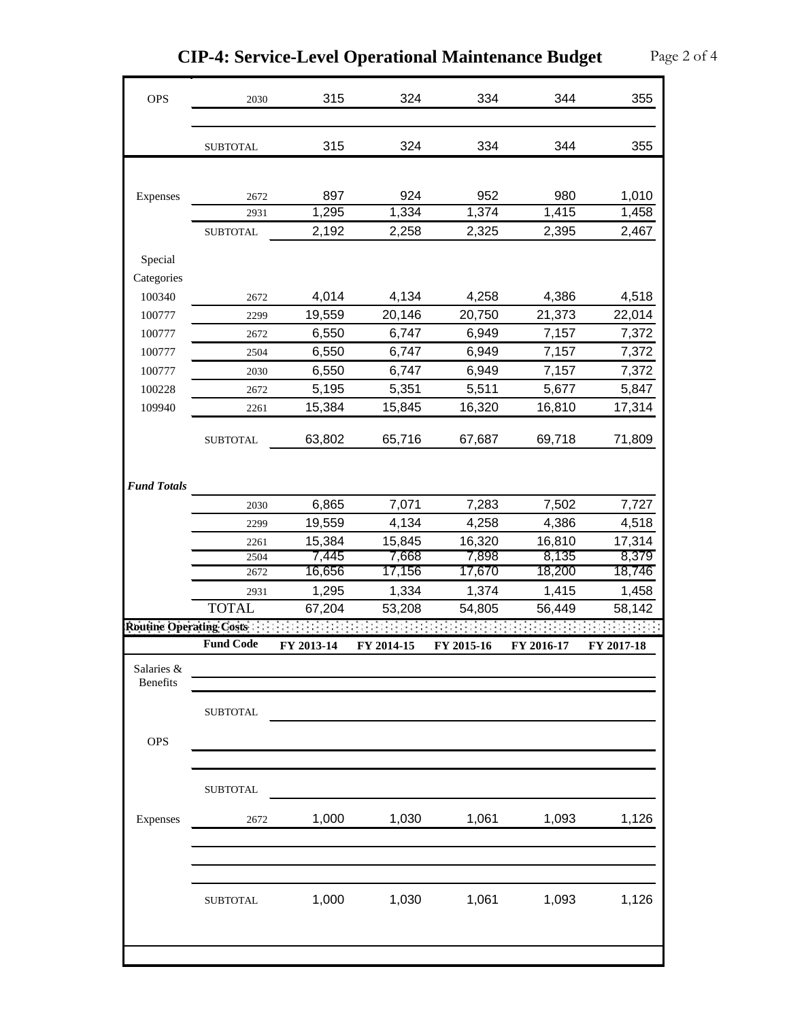| <b>OPS</b>                      | 2030             | 315        | 324        | 334        | 344        | 355        |
|---------------------------------|------------------|------------|------------|------------|------------|------------|
|                                 | <b>SUBTOTAL</b>  | 315        | 324        | 334        | 344        | 355        |
|                                 |                  |            |            |            |            |            |
|                                 |                  |            |            |            |            |            |
| Expenses                        | 2672             | 897        | 924        | 952        | 980        | 1,010      |
|                                 | 2931             | 1,295      | 1,334      | 1,374      | 1,415      | 1,458      |
|                                 | <b>SUBTOTAL</b>  | 2,192      | 2,258      | 2,325      | 2,395      | 2,467      |
| Special                         |                  |            |            |            |            |            |
| Categories                      |                  |            |            |            |            |            |
| 100340                          | 2672             | 4,014      | 4,134      | 4,258      | 4,386      | 4,518      |
| 100777                          | 2299             | 19,559     | 20,146     | 20,750     | 21,373     | 22,014     |
| 100777                          | 2672             | 6,550      | 6,747      | 6,949      | 7,157      | 7,372      |
| 100777                          | 2504             | 6,550      | 6,747      | 6,949      | 7,157      | 7,372      |
| 100777                          | 2030             | 6,550      | 6,747      | 6,949      | 7,157      | 7,372      |
| 100228                          | 2672             | 5,195      | 5,351      | 5,511      | 5,677      | 5,847      |
| 109940                          | 2261             | 15,384     | 15,845     | 16,320     | 16,810     | 17,314     |
|                                 | <b>SUBTOTAL</b>  | 63,802     | 65,716     | 67,687     | 69,718     | 71,809     |
| <b>Fund Totals</b>              |                  |            |            |            |            |            |
|                                 | 2030             | 6,865      | 7,071      | 7,283      | 7,502      | 7,727      |
|                                 | 2299             | 19,559     | 4,134      | 4,258      | 4,386      | 4,518      |
|                                 | 2261             | 15,384     | 15,845     | 16,320     | 16,810     | 17,314     |
|                                 | 2504             | 7,445      | 7,668      | 7,898      | 8,135      | 8,379      |
|                                 | 2672             | 16,656     | 17,156     | 17,670     | 18,200     | 18,746     |
|                                 | 2931             | 1,295      | 1,334      | 1,374      | 1,415      | 1,458      |
|                                 | <b>TOTAL</b>     | 67,204     | 53,208     | 54,805     | 56,449     | 58,142     |
| <b>Routine Operating Costs:</b> | <b>Fund Code</b> |            | FY 2014-15 |            | FY 2016-17 |            |
| Salaries &<br>Benefits          |                  | FY 2013-14 |            | FY 2015-16 |            | FY 2017-18 |
|                                 |                  |            |            |            |            |            |
|                                 | <b>SUBTOTAL</b>  |            |            |            |            |            |
| <b>OPS</b>                      |                  |            |            |            |            |            |
|                                 |                  |            |            |            |            |            |
|                                 | <b>SUBTOTAL</b>  |            |            |            |            |            |
| Expenses                        | 2672             | 1,000      | 1,030      | 1,061      | 1,093      | 1,126      |
|                                 |                  |            |            |            |            |            |
|                                 | <b>SUBTOTAL</b>  | 1,000      | 1,030      | 1,061      | 1,093      | 1,126      |
|                                 |                  |            |            |            |            |            |

**CIP-4: Service-Level Operational Maintenance Budget** Page 2 of 4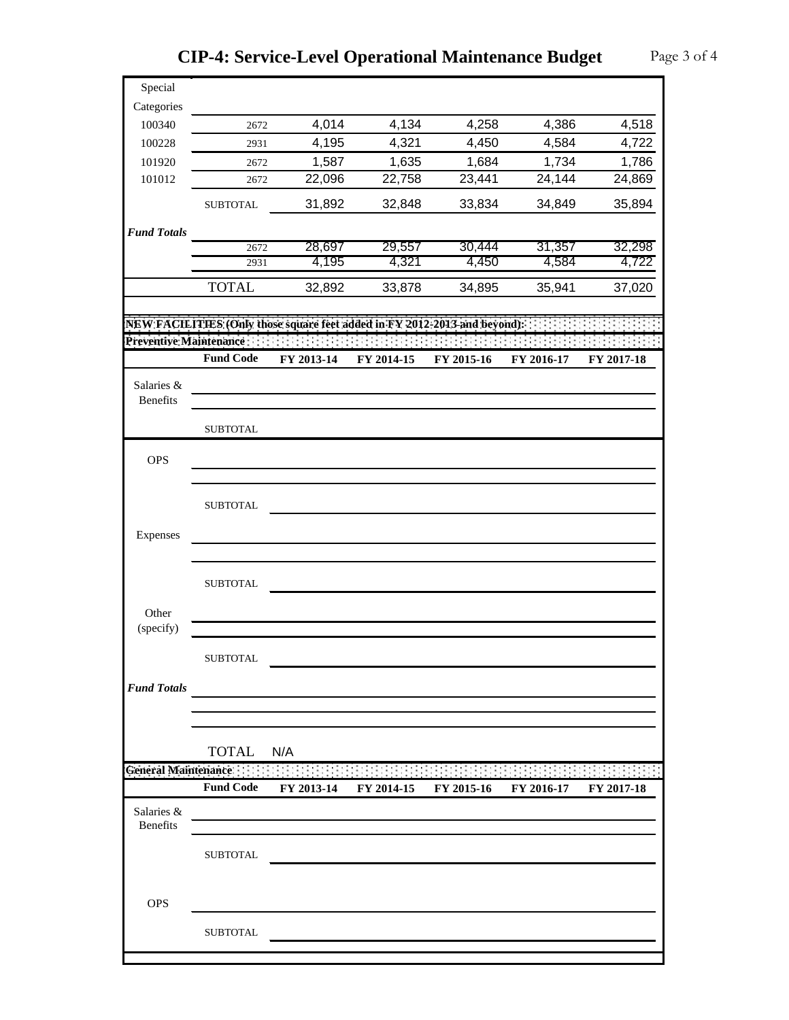| Special                 |                             |            |            |                                                                           |            |            |
|-------------------------|-----------------------------|------------|------------|---------------------------------------------------------------------------|------------|------------|
| Categories              |                             |            |            |                                                                           |            |            |
| 100340                  | 2672                        | 4,014      | 4,134      | 4,258                                                                     | 4,386      | 4,518      |
| 100228                  | 2931                        | 4,195      | 4,321      | 4,450                                                                     | 4,584      | 4,722      |
| 101920                  | 2672                        | 1,587      | 1,635      | 1,684                                                                     | 1,734      | 1,786      |
| 101012                  | 2672                        | 22,096     | 22,758     | 23,441                                                                    | 24,144     | 24,869     |
|                         | <b>SUBTOTAL</b>             | 31,892     | 32,848     | 33,834                                                                    | 34,849     | 35,894     |
| <b>Fund Totals</b>      |                             |            |            |                                                                           |            |            |
|                         | 2672                        | 28,697     | 29,557     | 30,444                                                                    | 31,357     | 32,298     |
|                         | 2931                        | 4,195      | 4,321      | 4,450                                                                     | 4,584      | 4,722      |
|                         | <b>TOTAL</b>                | 32,892     | 33,878     | 34,895                                                                    | 35,941     | 37,020     |
|                         |                             |            |            | NEW FACILITIES (Only those square feet added in FY 2012-2013 and beyond): |            |            |
| Preventive Maintenance: |                             |            |            |                                                                           |            |            |
|                         | <b>Fund Code</b>            | FY 2013-14 | FY 2014-15 | FY 2015-16                                                                | FY 2016-17 | FY 2017-18 |
|                         |                             |            |            |                                                                           |            |            |
| Salaries &<br>Benefits  |                             |            |            |                                                                           |            |            |
|                         | <b>SUBTOTAL</b>             |            |            |                                                                           |            |            |
|                         |                             |            |            |                                                                           |            |            |
| <b>OPS</b>              |                             |            |            |                                                                           |            |            |
|                         | <b>SUBTOTAL</b>             |            |            |                                                                           |            |            |
| Expenses                |                             |            |            |                                                                           |            |            |
|                         |                             |            |            |                                                                           |            |            |
|                         | <b>SUBTOTAL</b>             |            |            |                                                                           |            |            |
|                         |                             |            |            |                                                                           |            |            |
| Other<br>(specify)      |                             |            |            |                                                                           |            |            |
|                         |                             |            |            |                                                                           |            |            |
|                         | <b>SUBTOTAL</b>             |            |            |                                                                           |            |            |
| <b>Fund Totals</b>      |                             |            |            |                                                                           |            |            |
|                         |                             |            |            |                                                                           |            |            |
|                         |                             |            |            |                                                                           |            |            |
|                         | <b>TOTAL</b>                | N/A        |            |                                                                           |            |            |
|                         | General Maintenance : : : : |            |            |                                                                           |            |            |
|                         | <b>Fund Code</b>            | FY 2013-14 | FY 2014-15 | FY 2015-16                                                                | FY 2016-17 | FY 2017-18 |
| Salaries &              |                             |            |            |                                                                           |            |            |
| Benefits                |                             |            |            |                                                                           |            |            |
|                         | <b>SUBTOTAL</b>             |            |            |                                                                           |            |            |
|                         |                             |            |            |                                                                           |            |            |
| <b>OPS</b>              |                             |            |            |                                                                           |            |            |
|                         |                             |            |            |                                                                           |            |            |
|                         | <b>SUBTOTAL</b>             |            |            |                                                                           |            |            |
|                         |                             |            |            |                                                                           |            |            |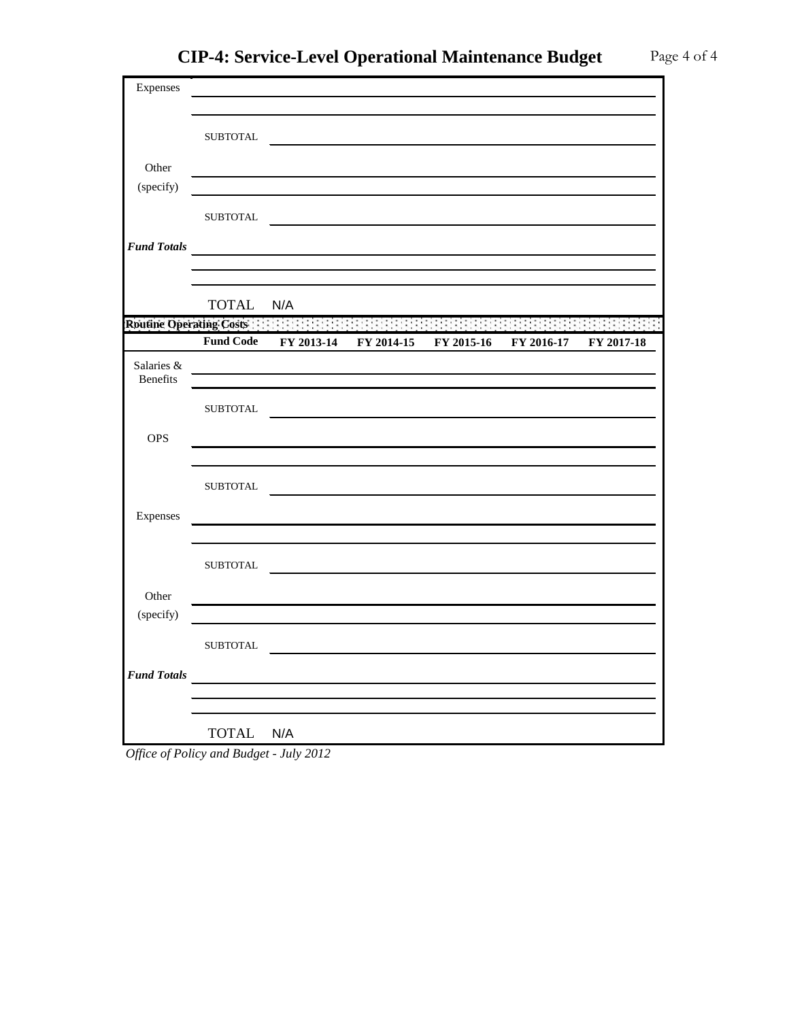| Expenses           |                         | the control of the control of the control of the control of the control of the control of        |            |            |            |            |
|--------------------|-------------------------|--------------------------------------------------------------------------------------------------|------------|------------|------------|------------|
|                    |                         |                                                                                                  |            |            |            |            |
|                    | <b>SUBTOTAL</b>         |                                                                                                  |            |            |            |            |
| Other              |                         |                                                                                                  |            |            |            |            |
| (specify)          |                         |                                                                                                  |            |            |            |            |
|                    |                         |                                                                                                  |            |            |            |            |
|                    | <b>SUBTOTAL</b>         |                                                                                                  |            |            |            |            |
| <b>Fund Totals</b> |                         | <u> 1980 - Jan James James Barbara, martxa a fizikar a shekara 1980 - Andrew Start Barbara (</u> |            |            |            |            |
|                    |                         |                                                                                                  |            |            |            |            |
|                    | <b>TOTAL</b>            | N/A                                                                                              |            |            |            |            |
|                    | Routine Operating Costs |                                                                                                  |            |            |            |            |
|                    | <b>Fund Code</b>        | FY 2013-14                                                                                       | FY 2014-15 | FY 2015-16 | FY 2016-17 | FY 2017-18 |
| Salaries &         |                         |                                                                                                  |            |            |            |            |
| Benefits           |                         |                                                                                                  |            |            |            |            |
|                    | <b>SUBTOTAL</b>         |                                                                                                  |            |            |            |            |
| <b>OPS</b>         |                         |                                                                                                  |            |            |            |            |
|                    |                         |                                                                                                  |            |            |            |            |
|                    | <b>SUBTOTAL</b>         |                                                                                                  |            |            |            |            |
|                    |                         |                                                                                                  |            |            |            |            |
| Expenses           |                         |                                                                                                  |            |            |            |            |
|                    |                         |                                                                                                  |            |            |            |            |
|                    | ${\tt SUBTOTAL}$        |                                                                                                  |            |            |            |            |
| Other              |                         |                                                                                                  |            |            |            |            |
| (specify)          |                         |                                                                                                  |            |            |            |            |
|                    | <b>SUBTOTAL</b>         |                                                                                                  |            |            |            |            |
| <b>Fund Totals</b> |                         |                                                                                                  |            |            |            |            |
|                    |                         |                                                                                                  |            |            |            |            |
|                    |                         |                                                                                                  |            |            |            |            |
|                    | <b>TOTAL</b>            | N/A                                                                                              |            |            |            |            |

*Office of Policy and Budget - July 2012*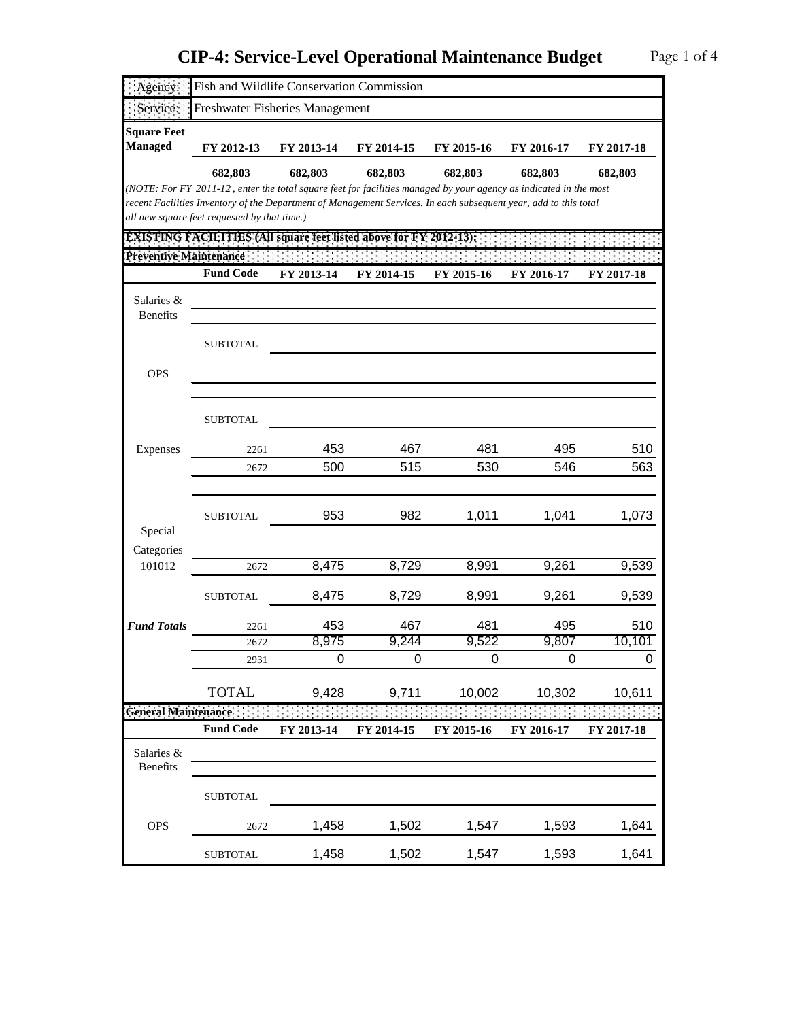| Agency:                       | Fish and Wildlife Conservation Commission                                                                                                                        |              |              |              |              |               |
|-------------------------------|------------------------------------------------------------------------------------------------------------------------------------------------------------------|--------------|--------------|--------------|--------------|---------------|
| Service:                      | Freshwater Fisheries Management                                                                                                                                  |              |              |              |              |               |
| <b>Square Feet</b>            |                                                                                                                                                                  |              |              |              |              |               |
| <b>Managed</b>                | FY 2012-13                                                                                                                                                       | FY 2013-14   | FY 2014-15   | FY 2015-16   | FY 2016-17   | FY 2017-18    |
|                               | 682,803                                                                                                                                                          | 682,803      | 682,803      | 682,803      | 682,803      | 682,803       |
|                               | (NOTE: For FY 2011-12, enter the total square feet for facilities managed by your agency as indicated in the most                                                |              |              |              |              |               |
|                               | recent Facilities Inventory of the Department of Management Services. In each subsequent year, add to this total<br>all new square feet requested by that time.) |              |              |              |              |               |
|                               | <b>EXISTING FACILITIES (All square feet listed above for FY 2012-13):</b>                                                                                        |              |              |              |              |               |
| Preventive Maintenance        |                                                                                                                                                                  |              |              |              |              |               |
|                               | <b>Fund Code</b>                                                                                                                                                 | FY 2013-14   | FY 2014-15   | FY 2015-16   | FY 2016-17   | FY 2017-18    |
| Salaries &<br><b>Benefits</b> |                                                                                                                                                                  |              |              |              |              |               |
|                               |                                                                                                                                                                  |              |              |              |              |               |
|                               | <b>SUBTOTAL</b>                                                                                                                                                  |              |              |              |              |               |
| <b>OPS</b>                    |                                                                                                                                                                  |              |              |              |              |               |
|                               |                                                                                                                                                                  |              |              |              |              |               |
|                               |                                                                                                                                                                  |              |              |              |              |               |
|                               | <b>SUBTOTAL</b>                                                                                                                                                  |              |              |              |              |               |
| Expenses                      | 2261                                                                                                                                                             | 453          | 467          | 481          | 495          | 510           |
|                               | 2672                                                                                                                                                             | 500          | 515          | 530          | 546          | 563           |
|                               |                                                                                                                                                                  |              |              |              |              |               |
|                               | <b>SUBTOTAL</b>                                                                                                                                                  | 953          | 982          | 1,011        | 1,041        | 1,073         |
| Special                       |                                                                                                                                                                  |              |              |              |              |               |
| Categories                    |                                                                                                                                                                  |              |              |              |              |               |
| 101012                        | 2672                                                                                                                                                             | 8,475        | 8,729        | 8,991        | 9,261        | 9,539         |
|                               | <b>SUBTOTAL</b>                                                                                                                                                  | 8,475        | 8,729        | 8,991        | 9,261        | 9,539         |
|                               |                                                                                                                                                                  |              |              |              |              |               |
| <b>Fund Totals</b>            | 2261<br>2672                                                                                                                                                     | 453<br>8,975 | 467<br>9,244 | 481<br>9,522 | 495<br>9,807 | 510<br>10,101 |
|                               | 2931                                                                                                                                                             | 0            | 0            | $\mathbf 0$  | 0            | 0             |
|                               |                                                                                                                                                                  |              |              |              |              |               |
|                               | <b>TOTAL</b>                                                                                                                                                     | 9,428        | 9,711        | 10,002       | 10,302       | 10,611        |
| General Maintenance:          |                                                                                                                                                                  |              |              |              |              |               |
|                               | <b>Fund Code</b>                                                                                                                                                 | FY 2013-14   | FY 2014-15   | FY 2015-16   | FY 2016-17   | FY 2017-18    |
| Salaries &<br>Benefits        |                                                                                                                                                                  |              |              |              |              |               |
|                               | <b>SUBTOTAL</b>                                                                                                                                                  |              |              |              |              |               |
| <b>OPS</b>                    | 2672                                                                                                                                                             | 1,458        | 1,502        | 1,547        | 1,593        | 1,641         |
|                               | <b>SUBTOTAL</b>                                                                                                                                                  | 1,458        | 1,502        | 1,547        | 1,593        | 1,641         |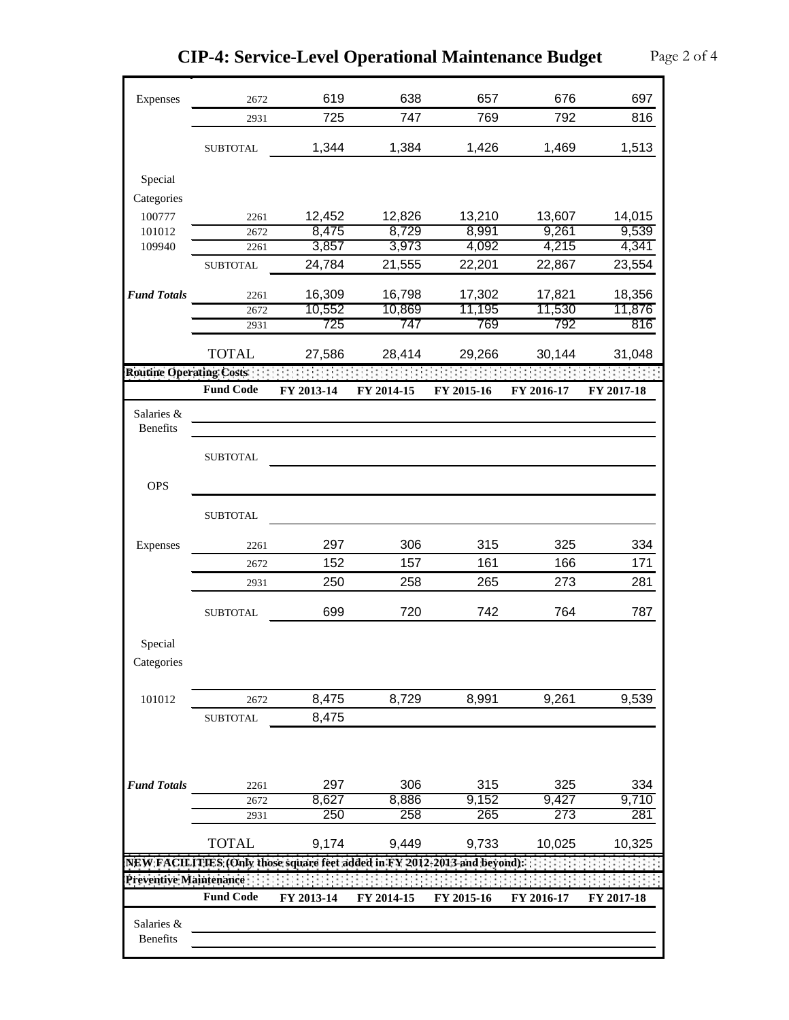| Expenses                       | 2672             | 619                                                                       | 638        | 657        | 676        | 697        |
|--------------------------------|------------------|---------------------------------------------------------------------------|------------|------------|------------|------------|
|                                | 2931             | 725                                                                       | 747        | 769        | 792        | 816        |
|                                | <b>SUBTOTAL</b>  | 1,344                                                                     | 1,384      | 1,426      | 1,469      | 1,513      |
|                                |                  |                                                                           |            |            |            |            |
| Special                        |                  |                                                                           |            |            |            |            |
| Categories                     |                  |                                                                           |            |            |            |            |
| 100777                         | 2261             | 12,452                                                                    | 12,826     | 13,210     | 13,607     | 14,015     |
| 101012                         | 2672             | 8,475                                                                     | 8,729      | 8,991      | 9,261      | 9,539      |
| 109940                         | 2261             | 3,857                                                                     | 3,973      | 4,092      | 4,215      | 4,341      |
|                                | <b>SUBTOTAL</b>  | 24,784                                                                    | 21,555     | 22,201     | 22,867     | 23,554     |
| <b>Fund Totals</b>             | 2261             | 16,309                                                                    | 16,798     | 17,302     | 17,821     | 18,356     |
|                                | 2672             | 10,552                                                                    | 10,869     | 11,195     | 11,530     | 11,876     |
|                                | 2931             | 725                                                                       | 747        | 769        | 792        | 816        |
|                                | <b>TOTAL</b>     | 27,586                                                                    | 28,414     | 29,266     | 30,144     | 31,048     |
| <b>Routine Operating Costs</b> |                  |                                                                           |            |            |            |            |
|                                | <b>Fund Code</b> | FY 2013-14                                                                | FY 2014-15 | FY 2015-16 | FY 2016-17 | FY 2017-18 |
| Salaries &                     |                  |                                                                           |            |            |            |            |
| <b>Benefits</b>                |                  |                                                                           |            |            |            |            |
|                                | <b>SUBTOTAL</b>  |                                                                           |            |            |            |            |
| <b>OPS</b>                     |                  |                                                                           |            |            |            |            |
|                                |                  |                                                                           |            |            |            |            |
|                                | <b>SUBTOTAL</b>  |                                                                           |            |            |            |            |
| Expenses                       | 2261             | 297                                                                       | 306        | 315        | 325        | 334        |
|                                | 2672             | 152                                                                       | 157        | 161        | 166        | 171        |
|                                | 2931             | 250                                                                       | 258        | 265        | 273        | 281        |
|                                |                  |                                                                           |            |            |            |            |
|                                | <b>SUBTOTAL</b>  | 699                                                                       | 720        | 742        | 764        | 787        |
| Special                        |                  |                                                                           |            |            |            |            |
| Categories                     |                  |                                                                           |            |            |            |            |
|                                |                  |                                                                           |            |            |            |            |
| 101012                         | 2672             | 8,475                                                                     | 8,729      | 8,991      | 9,261      | 9,539      |
|                                | <b>SUBTOTAL</b>  | 8,475                                                                     |            |            |            |            |
|                                |                  |                                                                           |            |            |            |            |
|                                |                  |                                                                           |            |            |            |            |
| <b>Fund Totals</b>             | 2261             | 297                                                                       | 306        | 315        | 325        | 334        |
|                                | 2672             | 8,627                                                                     | 8,886      | 9,152      | 9,427      | 9,710      |
|                                | 2931             | 250                                                                       | 258        | 265        | 273        | 281        |
|                                | <b>TOTAL</b>     | 9,174                                                                     | 9,449      | 9,733      | 10,025     | 10,325     |
|                                |                  | NEW FACILITIES (Only those square feet added in FY 2012-2013 and beyond): |            |            |            |            |
| Preventive Maintenance         |                  |                                                                           |            |            |            |            |
|                                | <b>Fund Code</b> | FY 2013-14                                                                | FY 2014-15 | FY 2015-16 | FY 2016-17 | FY 2017-18 |
| Salaries &                     |                  |                                                                           |            |            |            |            |
| <b>Benefits</b>                |                  |                                                                           |            |            |            |            |
|                                |                  |                                                                           |            |            |            |            |

 $\overline{\phantom{a}}$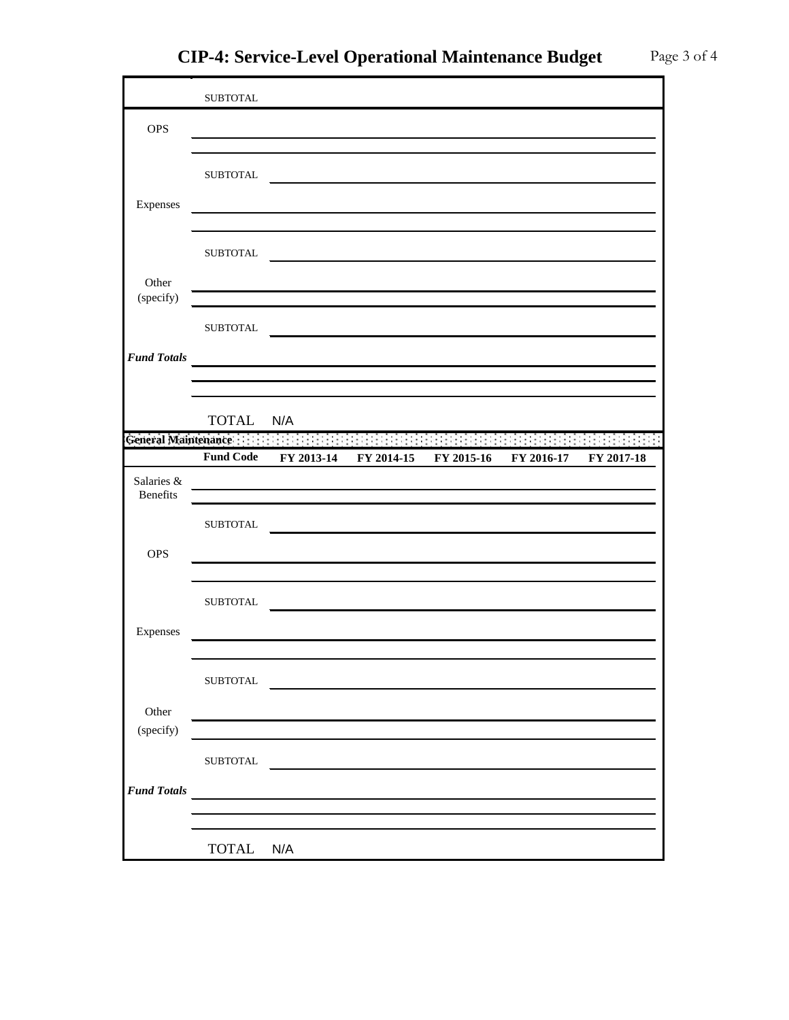|                    | <b>SUBTOTAL</b>             |                                                                                                                        |                                                                                                                       |            |            |
|--------------------|-----------------------------|------------------------------------------------------------------------------------------------------------------------|-----------------------------------------------------------------------------------------------------------------------|------------|------------|
| <b>OPS</b>         |                             |                                                                                                                        |                                                                                                                       |            |            |
|                    |                             |                                                                                                                        |                                                                                                                       |            |            |
|                    | <b>SUBTOTAL</b>             |                                                                                                                        |                                                                                                                       |            |            |
|                    |                             |                                                                                                                        |                                                                                                                       |            |            |
| Expenses           |                             | the control of the control of the control of the control of the control of the control of                              |                                                                                                                       |            |            |
|                    |                             |                                                                                                                        |                                                                                                                       |            |            |
|                    | <b>SUBTOTAL</b>             |                                                                                                                        |                                                                                                                       |            |            |
|                    |                             |                                                                                                                        |                                                                                                                       |            |            |
| Other              |                             | and the control of the control of the control of the control of the control of the control of the control of the       |                                                                                                                       |            |            |
| (specify)          |                             | <u> 1989 - Johann Barbert, mars and de ferrer et al. (1989)</u>                                                        |                                                                                                                       |            |            |
|                    | <b>SUBTOTAL</b>             |                                                                                                                        | <u> 1989 - Jan Stern Stern Stern Stern Stern Stern Stern Stern Stern Stern Stern Stern Stern Stern Stern Stern St</u> |            |            |
|                    |                             |                                                                                                                        |                                                                                                                       |            |            |
| <b>Fund Totals</b> |                             | <u> 1989 - Johann Harry Barn, mars and de Branch and de Branch and de Branch and de Branch and de Branch and de Br</u> |                                                                                                                       |            |            |
|                    |                             |                                                                                                                        |                                                                                                                       |            |            |
|                    |                             |                                                                                                                        |                                                                                                                       |            |            |
|                    | TOTAL N/A                   |                                                                                                                        | and the company                                                                                                       |            |            |
|                    | General Maintenance : : : : | $\mathbb{R}^n$                                                                                                         |                                                                                                                       |            |            |
|                    | <b>Fund Code</b>            | FY 2013-14                                                                                                             | FY 2014-15 FY 2015-16                                                                                                 | FY 2016-17 | FY 2017-18 |
| Salaries &         |                             |                                                                                                                        |                                                                                                                       |            |            |
| <b>Benefits</b>    |                             |                                                                                                                        |                                                                                                                       |            |            |
|                    |                             |                                                                                                                        |                                                                                                                       |            |            |
|                    | <b>SUBTOTAL</b>             |                                                                                                                        |                                                                                                                       |            |            |
|                    |                             |                                                                                                                        |                                                                                                                       |            |            |
| <b>OPS</b>         |                             |                                                                                                                        |                                                                                                                       |            |            |
|                    |                             |                                                                                                                        |                                                                                                                       |            |            |
|                    | <b>SUBTOTAL</b>             |                                                                                                                        |                                                                                                                       |            |            |
|                    |                             |                                                                                                                        |                                                                                                                       |            |            |
| Expenses           |                             |                                                                                                                        |                                                                                                                       |            |            |
|                    |                             |                                                                                                                        |                                                                                                                       |            |            |
|                    | <b>SUBTOTAL</b>             |                                                                                                                        |                                                                                                                       |            |            |
|                    |                             |                                                                                                                        |                                                                                                                       |            |            |
| Other              |                             | <u> 1989 - Johann Stein, marwolaethau a bhann an t-Amhair an t-Amhair an t-Amhair an t-Amhair an t-Amhair an t-A</u>   |                                                                                                                       |            |            |
| (specify)          |                             |                                                                                                                        |                                                                                                                       |            |            |
|                    | <b>SUBTOTAL</b>             |                                                                                                                        |                                                                                                                       |            |            |
|                    |                             | <u> 1989 - Johann Stein, mars an t-Amerikaansk kommunister (</u>                                                       |                                                                                                                       |            |            |
| <b>Fund Totals</b> |                             |                                                                                                                        |                                                                                                                       |            |            |
|                    |                             |                                                                                                                        |                                                                                                                       |            |            |
|                    | TOTAL N/A                   |                                                                                                                        |                                                                                                                       |            |            |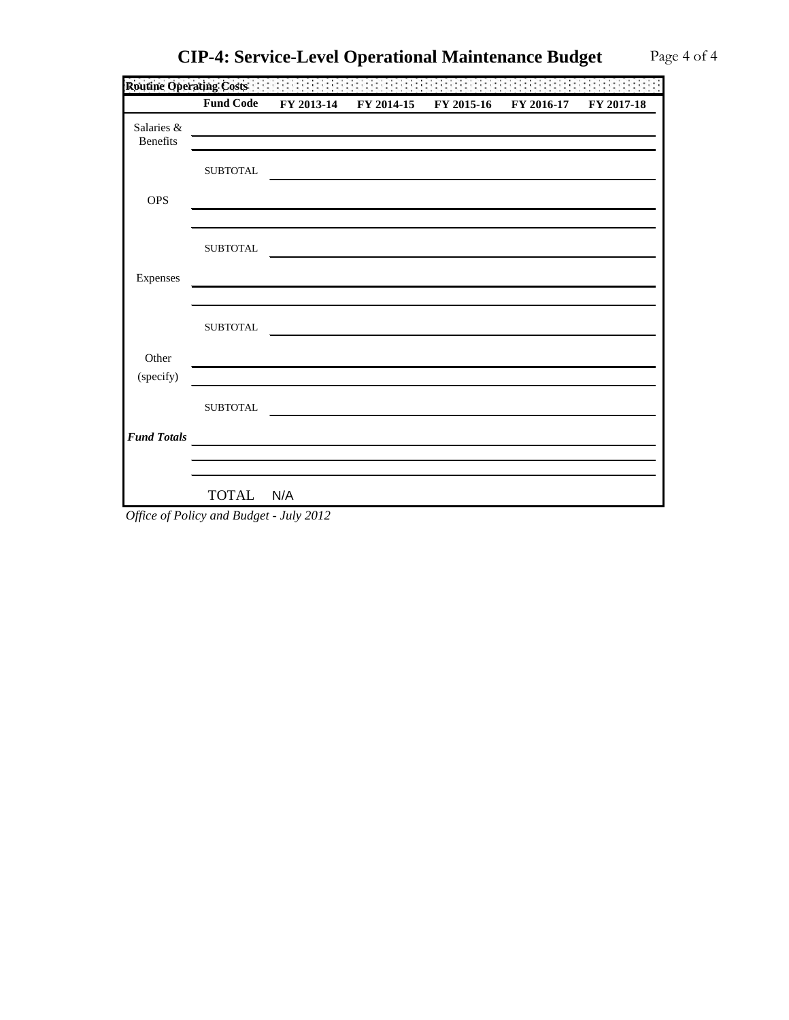|                 | FY 2014-15 | FY 2015-16 | FY 2016-17 FY 2017-18 |
|-----------------|------------|------------|-----------------------|
|                 |            |            |                       |
|                 |            |            |                       |
| <b>SUBTOTAL</b> |            |            |                       |
|                 |            |            |                       |
|                 |            |            |                       |

| <b>OPS</b>         |                 |  |
|--------------------|-----------------|--|
| Expenses           | <b>SUBTOTAL</b> |  |
|                    | <b>SUBTOTAL</b> |  |
| Other              |                 |  |
| (specify)          |                 |  |
|                    | <b>SUBTOTAL</b> |  |
| <b>Fund Totals</b> |                 |  |
|                    | TOTAL N/A       |  |

**Routine Operating Costs**

Salaries & Benefits

*Office of Policy and Budget - July 2012*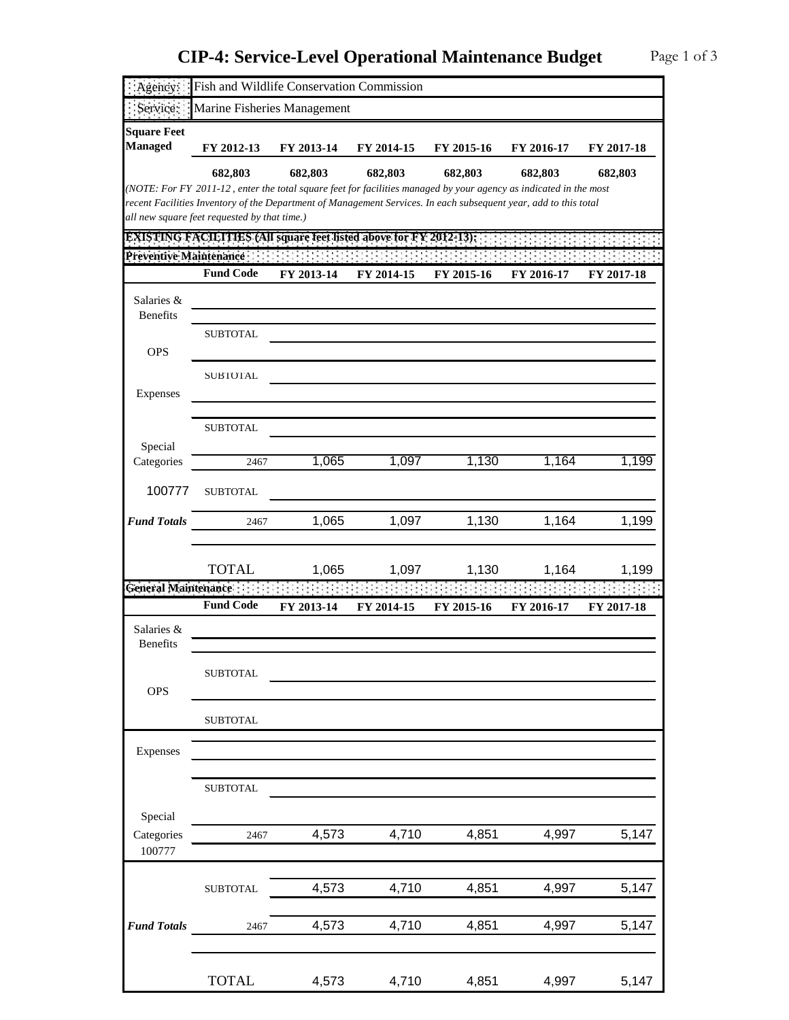| Agency:                       |                                              | Fish and Wildlife Conservation Commission |                                                                                                                   |            |            |            |
|-------------------------------|----------------------------------------------|-------------------------------------------|-------------------------------------------------------------------------------------------------------------------|------------|------------|------------|
| Service:                      |                                              | Marine Fisheries Management               |                                                                                                                   |            |            |            |
| <b>Square Feet</b>            |                                              |                                           |                                                                                                                   |            |            |            |
| <b>Managed</b>                | FY 2012-13                                   | FY 2013-14                                | FY 2014-15                                                                                                        | FY 2015-16 | FY 2016-17 | FY 2017-18 |
|                               | 682,803                                      | 682,803                                   | 682,803                                                                                                           | 682,803    | 682,803    | 682,803    |
|                               |                                              |                                           | (NOTE: For FY 2011-12, enter the total square feet for facilities managed by your agency as indicated in the most |            |            |            |
|                               | all new square feet requested by that time.) |                                           | recent Facilities Inventory of the Department of Management Services. In each subsequent year, add to this total  |            |            |            |
|                               |                                              |                                           | <b>EXISTING FACILITIES (All square feet listed above for FY 2012-13):</b>                                         |            |            |            |
| Preventive Maintenance        |                                              |                                           |                                                                                                                   |            |            |            |
|                               | <b>Fund Code</b>                             | FY 2013-14                                | FY 2014-15                                                                                                        | FY 2015-16 | FY 2016-17 | FY 2017-18 |
| Salaries &<br><b>Benefits</b> |                                              |                                           |                                                                                                                   |            |            |            |
|                               | <b>SUBTOTAL</b>                              |                                           |                                                                                                                   |            |            |            |
| <b>OPS</b>                    |                                              |                                           |                                                                                                                   |            |            |            |
|                               | <b>SUBTOTAL</b>                              |                                           |                                                                                                                   |            |            |            |
| Expenses                      |                                              |                                           |                                                                                                                   |            |            |            |
|                               |                                              |                                           |                                                                                                                   |            |            |            |
|                               | <b>SUBTOTAL</b>                              |                                           |                                                                                                                   |            |            |            |
| Special<br>Categories         | 2467                                         | 1,065                                     | 1,097                                                                                                             | 1,130      | 1,164      | 1,199      |
|                               |                                              |                                           |                                                                                                                   |            |            |            |
| 100777                        | <b>SUBTOTAL</b>                              |                                           |                                                                                                                   |            |            |            |
| <b>Fund Totals</b>            | 2467                                         | 1,065                                     | 1,097                                                                                                             | 1,130      | 1,164      | 1,199      |
|                               |                                              |                                           |                                                                                                                   |            |            |            |
|                               | <b>TOTAL</b>                                 | 1,065                                     | 1,097                                                                                                             | 1,130      | 1,164      | 1,199      |
| <b>General Maintenance</b>    |                                              |                                           |                                                                                                                   |            |            |            |
|                               | <b>Fund Code</b>                             | FY 2013-14                                | FY 2014-15                                                                                                        | FY 2015-16 | FY 2016-17 | FY 2017-18 |
| Salaries &<br><b>Benefits</b> |                                              |                                           |                                                                                                                   |            |            |            |
|                               | <b>SUBTOTAL</b>                              |                                           |                                                                                                                   |            |            |            |
| <b>OPS</b>                    |                                              |                                           |                                                                                                                   |            |            |            |
|                               |                                              |                                           |                                                                                                                   |            |            |            |
|                               | <b>SUBTOTAL</b>                              |                                           |                                                                                                                   |            |            |            |
| Expenses                      |                                              |                                           |                                                                                                                   |            |            |            |
|                               |                                              |                                           |                                                                                                                   |            |            |            |
|                               | ${\tt SUBTOTAL}$                             |                                           |                                                                                                                   |            |            |            |
| Special                       |                                              |                                           |                                                                                                                   |            |            |            |
| Categories                    | 2467                                         | 4,573                                     | 4,710                                                                                                             | 4,851      | 4,997      | 5,147      |
| 100777                        |                                              |                                           |                                                                                                                   |            |            |            |
|                               |                                              |                                           |                                                                                                                   |            |            |            |
|                               | ${\tt SUBTOTAL}$                             | 4,573                                     | 4,710                                                                                                             | 4,851      | 4,997      | 5,147      |
|                               |                                              |                                           |                                                                                                                   |            |            |            |
| <b>Fund Totals</b>            | 2467                                         | 4,573                                     | 4,710                                                                                                             | 4,851      | 4,997      | 5,147      |
|                               |                                              |                                           |                                                                                                                   |            |            |            |
|                               | <b>TOTAL</b>                                 | 4,573                                     | 4,710                                                                                                             | 4,851      | 4,997      | 5,147      |
|                               |                                              |                                           |                                                                                                                   |            |            |            |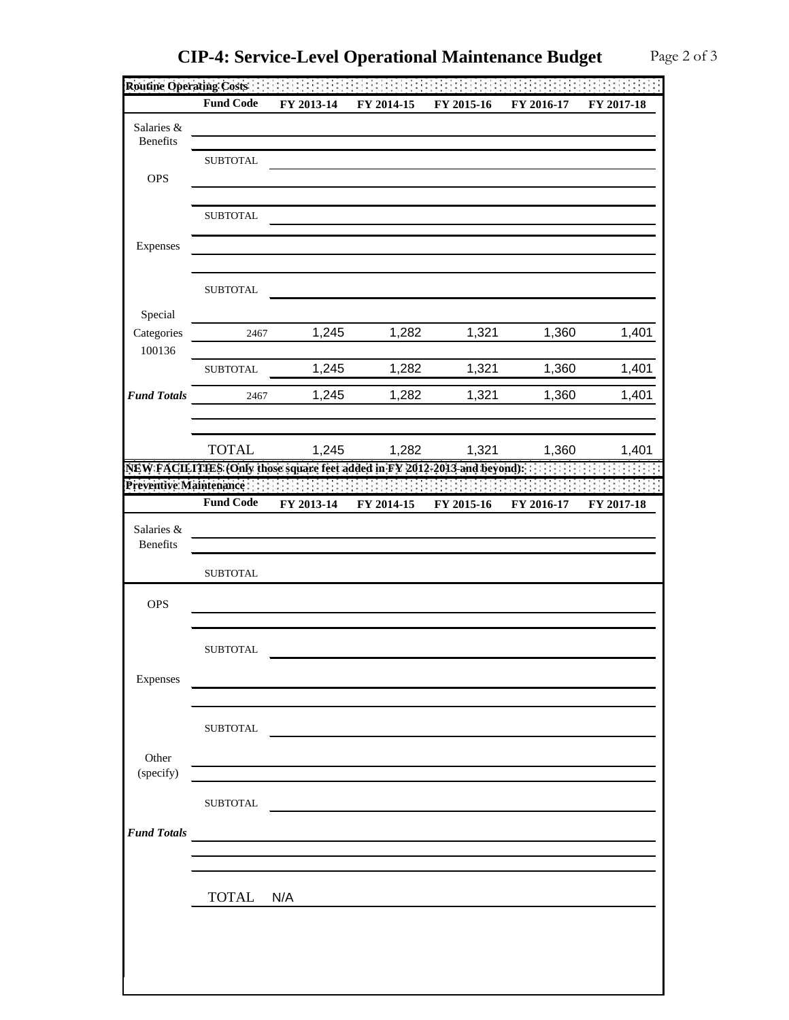|                    | Routine Operating Costs<br><b>Fund Code</b> | FY 2013-14                                                                 | FY 2014-15                                                                                                                                                                                                                           | FY 2015-16 | FY 2016-17 | FY 2017-18 |
|--------------------|---------------------------------------------|----------------------------------------------------------------------------|--------------------------------------------------------------------------------------------------------------------------------------------------------------------------------------------------------------------------------------|------------|------------|------------|
| Salaries &         |                                             |                                                                            |                                                                                                                                                                                                                                      |            |            |            |
| Benefits           |                                             |                                                                            |                                                                                                                                                                                                                                      |            |            |            |
|                    | <b>SUBTOTAL</b>                             |                                                                            |                                                                                                                                                                                                                                      |            |            |            |
| <b>OPS</b>         |                                             |                                                                            |                                                                                                                                                                                                                                      |            |            |            |
|                    | <b>SUBTOTAL</b>                             |                                                                            |                                                                                                                                                                                                                                      |            |            |            |
|                    |                                             |                                                                            |                                                                                                                                                                                                                                      |            |            |            |
| Expenses           |                                             |                                                                            |                                                                                                                                                                                                                                      |            |            |            |
|                    |                                             |                                                                            |                                                                                                                                                                                                                                      |            |            |            |
|                    | <b>SUBTOTAL</b>                             |                                                                            |                                                                                                                                                                                                                                      |            |            |            |
| Special            |                                             |                                                                            |                                                                                                                                                                                                                                      |            |            |            |
| Categories         | 2467                                        | 1,245                                                                      | 1,282                                                                                                                                                                                                                                | 1,321      | 1,360      | 1,401      |
| 100136             | <b>SUBTOTAL</b>                             | 1,245                                                                      | 1,282                                                                                                                                                                                                                                | 1,321      | 1,360      | 1,401      |
|                    |                                             |                                                                            |                                                                                                                                                                                                                                      |            |            |            |
| <b>Fund Totals</b> | 2467                                        | 1,245                                                                      | 1,282                                                                                                                                                                                                                                | 1,321      | 1,360      | 1,401      |
|                    |                                             |                                                                            |                                                                                                                                                                                                                                      |            |            |            |
|                    | <b>TOTAL</b>                                | 1,245                                                                      | 1,282                                                                                                                                                                                                                                | 1,321      | 1,360      | 1,401      |
|                    |                                             |                                                                            | NEW FACILITIES (Only those square feet added in FY 2012-2013 and beyond).                                                                                                                                                            |            |            |            |
|                    | Preventive Maintenance:                     |                                                                            |                                                                                                                                                                                                                                      |            |            |            |
|                    | <b>Fund Code</b>                            | FY 2013-14                                                                 | FY 2014-15                                                                                                                                                                                                                           | FY 2015-16 | FY 2016-17 | FY 2017-18 |
| Salaries &         |                                             |                                                                            |                                                                                                                                                                                                                                      |            |            |            |
| Benefits           |                                             |                                                                            |                                                                                                                                                                                                                                      |            |            |            |
|                    | <b>SUBTOTAL</b>                             |                                                                            |                                                                                                                                                                                                                                      |            |            |            |
| <b>OPS</b>         |                                             |                                                                            |                                                                                                                                                                                                                                      |            |            |            |
|                    |                                             |                                                                            |                                                                                                                                                                                                                                      |            |            |            |
|                    |                                             |                                                                            |                                                                                                                                                                                                                                      |            |            |            |
|                    | <b>SUBTOTAL</b>                             |                                                                            |                                                                                                                                                                                                                                      |            |            |            |
| Expenses           |                                             |                                                                            |                                                                                                                                                                                                                                      |            |            |            |
|                    |                                             |                                                                            |                                                                                                                                                                                                                                      |            |            |            |
|                    | <b>SUBTOTAL</b>                             |                                                                            |                                                                                                                                                                                                                                      |            |            |            |
|                    |                                             |                                                                            |                                                                                                                                                                                                                                      |            |            |            |
| Other<br>(specify) |                                             |                                                                            | <u>and the company of the company of the company of the company of the company of the company of the company of the company of the company of the company of the company of the company of the company of the company of the com</u> |            |            |            |
|                    |                                             |                                                                            |                                                                                                                                                                                                                                      |            |            |            |
|                    | <b>SUBTOTAL</b>                             |                                                                            |                                                                                                                                                                                                                                      |            |            |            |
| <b>Fund Totals</b> |                                             | the control of the control of the control of the control of the control of |                                                                                                                                                                                                                                      |            |            |            |
|                    |                                             |                                                                            |                                                                                                                                                                                                                                      |            |            |            |
|                    |                                             |                                                                            |                                                                                                                                                                                                                                      |            |            |            |
|                    | TOTAL N/A                                   |                                                                            |                                                                                                                                                                                                                                      |            |            |            |
|                    |                                             |                                                                            |                                                                                                                                                                                                                                      |            |            |            |
|                    |                                             |                                                                            |                                                                                                                                                                                                                                      |            |            |            |
|                    |                                             |                                                                            |                                                                                                                                                                                                                                      |            |            |            |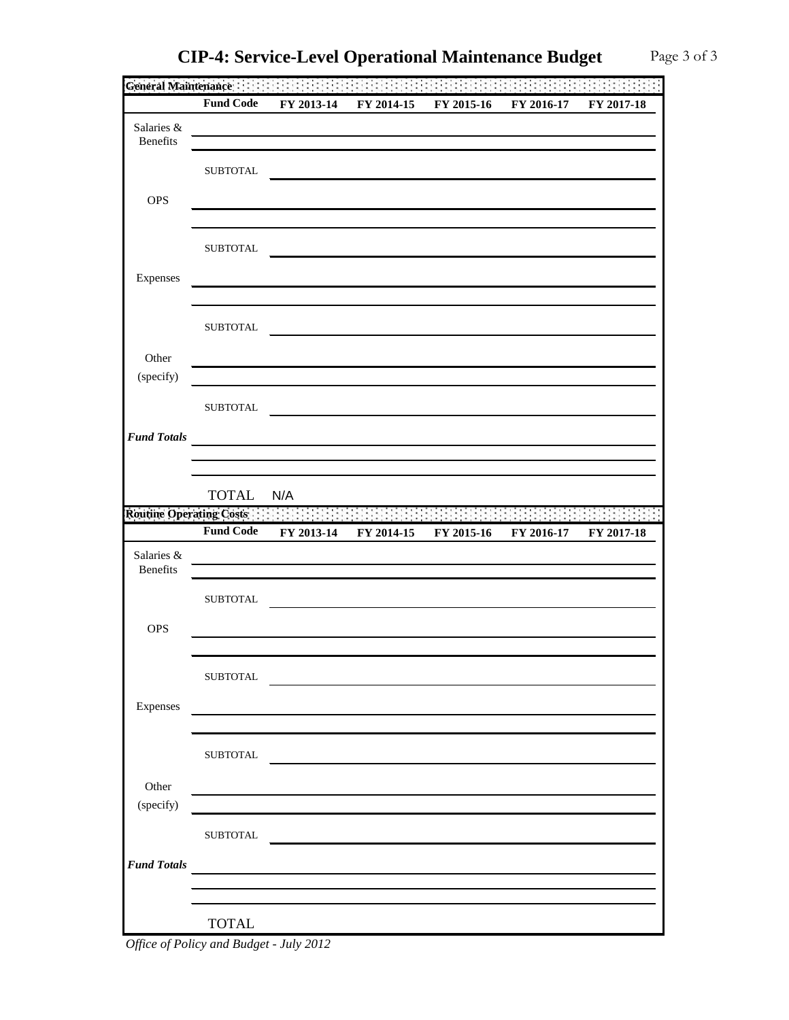| l Operational Maintenance Budget |  |
|----------------------------------|--|
|                                  |  |

| General Maintenance      |                  |                                                                                                                                                                                                                                      |            |                                                       |            |            |
|--------------------------|------------------|--------------------------------------------------------------------------------------------------------------------------------------------------------------------------------------------------------------------------------------|------------|-------------------------------------------------------|------------|------------|
|                          | <b>Fund Code</b> | FY 2013-14                                                                                                                                                                                                                           | FY 2014-15 | FY 2015-16                                            | FY 2016-17 | FY 2017-18 |
| Salaries &               |                  |                                                                                                                                                                                                                                      |            |                                                       |            |            |
| Benefits                 |                  |                                                                                                                                                                                                                                      |            |                                                       |            |            |
|                          | <b>SUBTOTAL</b>  |                                                                                                                                                                                                                                      |            |                                                       |            |            |
| <b>OPS</b>               |                  |                                                                                                                                                                                                                                      |            |                                                       |            |            |
|                          |                  |                                                                                                                                                                                                                                      |            |                                                       |            |            |
|                          |                  |                                                                                                                                                                                                                                      |            |                                                       |            |            |
|                          | <b>SUBTOTAL</b>  |                                                                                                                                                                                                                                      |            |                                                       |            |            |
| Expenses                 |                  |                                                                                                                                                                                                                                      |            |                                                       |            |            |
|                          |                  |                                                                                                                                                                                                                                      |            |                                                       |            |            |
|                          | <b>SUBTOTAL</b>  |                                                                                                                                                                                                                                      |            |                                                       |            |            |
|                          |                  |                                                                                                                                                                                                                                      |            |                                                       |            |            |
| Other                    |                  |                                                                                                                                                                                                                                      |            |                                                       |            |            |
| (specify)                |                  |                                                                                                                                                                                                                                      |            |                                                       |            |            |
|                          | <b>SUBTOTAL</b>  |                                                                                                                                                                                                                                      |            |                                                       |            |            |
| <b>Fund Totals</b>       |                  |                                                                                                                                                                                                                                      |            |                                                       |            |            |
|                          |                  |                                                                                                                                                                                                                                      |            |                                                       |            |            |
|                          |                  |                                                                                                                                                                                                                                      |            |                                                       |            |            |
|                          | <b>TOTAL</b>     | N/A                                                                                                                                                                                                                                  |            |                                                       |            |            |
| Routine Operating Costs: |                  |                                                                                                                                                                                                                                      |            |                                                       |            |            |
|                          | <b>Fund Code</b> | FY 2013-14                                                                                                                                                                                                                           | FY 2014-15 | FY 2015-16                                            | FY 2016-17 | FY 2017-18 |
| Salaries &<br>Benefits   |                  |                                                                                                                                                                                                                                      |            |                                                       |            |            |
|                          |                  |                                                                                                                                                                                                                                      |            |                                                       |            |            |
|                          | <b>SUBTOTAL</b>  |                                                                                                                                                                                                                                      |            |                                                       |            |            |
| <b>OPS</b>               |                  |                                                                                                                                                                                                                                      |            |                                                       |            |            |
|                          |                  |                                                                                                                                                                                                                                      |            |                                                       |            |            |
|                          | ${\tt SUBTOTAL}$ |                                                                                                                                                                                                                                      |            |                                                       |            |            |
|                          |                  |                                                                                                                                                                                                                                      |            | <u> 1980 - Andrea Stadt, fransk politik (d. 1980)</u> |            |            |
| Expenses                 |                  |                                                                                                                                                                                                                                      |            |                                                       |            |            |
|                          |                  |                                                                                                                                                                                                                                      |            |                                                       |            |            |
|                          | ${\tt SUBTOTAL}$ | <u> 1989 - Johann Barnett, fransk politik (d. 1989)</u>                                                                                                                                                                              |            |                                                       |            |            |
| Other                    |                  |                                                                                                                                                                                                                                      |            |                                                       |            |            |
| (specify)                |                  | the control of the control of the control of the control of the control of the control of the control of the control of the control of the control of the control of the control of the control of the control of the control        |            |                                                       |            |            |
|                          |                  | <u> 1989 - Johann Stein, mars an de Frankrik (f. 1989)</u>                                                                                                                                                                           |            |                                                       |            |            |
|                          | <b>SUBTOTAL</b>  | <u> Andreas Andreas Andreas Andreas Andreas Andreas Andreas Andreas Andreas Andreas Andreas Andreas Andreas Andreas Andreas Andreas Andreas Andreas Andreas Andreas Andreas Andreas Andreas Andreas Andreas Andreas Andreas Andr</u> |            |                                                       |            |            |
| <b>Fund Totals</b>       |                  | the control of the control of the control of the control of the control of the control of                                                                                                                                            |            |                                                       |            |            |
|                          |                  |                                                                                                                                                                                                                                      |            |                                                       |            |            |
|                          |                  |                                                                                                                                                                                                                                      |            |                                                       |            |            |
|                          | <b>TOTAL</b>     |                                                                                                                                                                                                                                      |            |                                                       |            |            |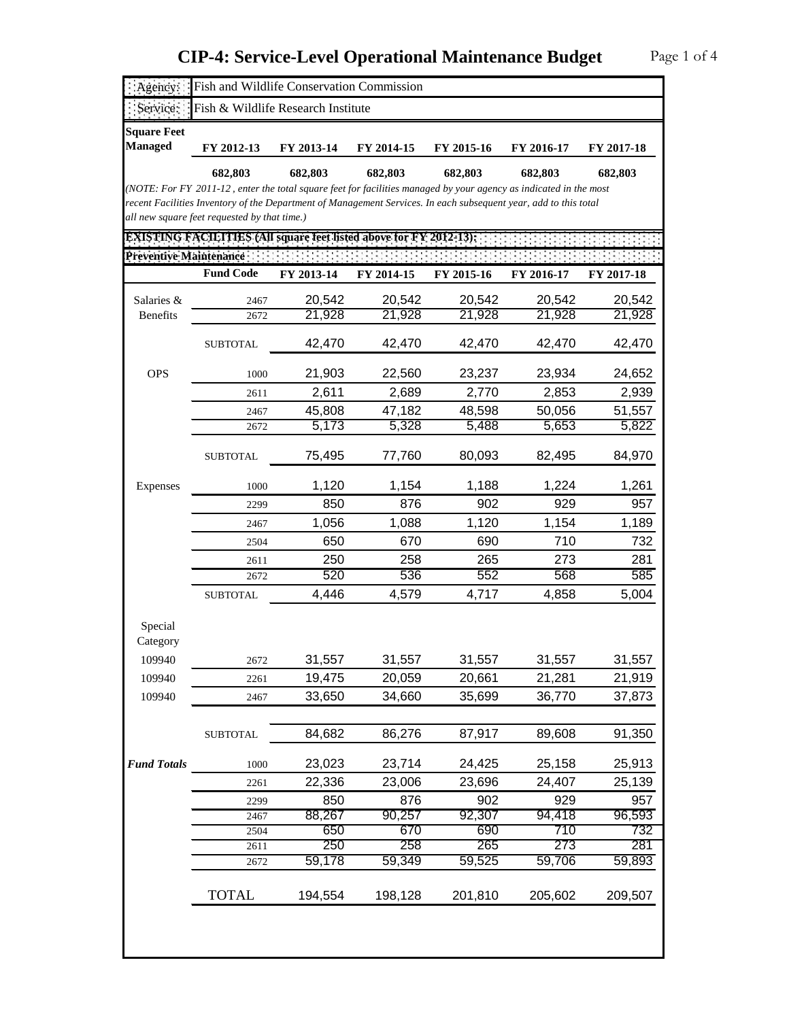| Agency:                                        | Fish and Wildlife Conservation Commission                                                                                                                                                                                             |               |               |               |               |               |  |
|------------------------------------------------|---------------------------------------------------------------------------------------------------------------------------------------------------------------------------------------------------------------------------------------|---------------|---------------|---------------|---------------|---------------|--|
| Service:<br>Fish & Wildlife Research Institute |                                                                                                                                                                                                                                       |               |               |               |               |               |  |
| <b>Square Feet</b><br><b>Managed</b>           | FY 2012-13                                                                                                                                                                                                                            | FY 2013-14    | FY 2014-15    | FY 2015-16    | FY 2016-17    | FY 2017-18    |  |
|                                                | 682,803                                                                                                                                                                                                                               | 682,803       | 682,803       | 682,803       | 682,803       | 682,803       |  |
|                                                | (NOTE: For FY 2011-12, enter the total square feet for facilities managed by your agency as indicated in the most<br>recent Facilities Inventory of the Department of Management Services. In each subsequent year, add to this total |               |               |               |               |               |  |
|                                                | all new square feet requested by that time.)                                                                                                                                                                                          |               |               |               |               |               |  |
|                                                | <b>EXISTING FACILITIES (All square feet listed above for FY 2012-13):</b>                                                                                                                                                             |               |               |               |               |               |  |
| Preventive Maintenance:                        |                                                                                                                                                                                                                                       |               |               |               |               |               |  |
|                                                | <b>Fund Code</b>                                                                                                                                                                                                                      | FY 2013-14    | FY 2014-15    | FY 2015-16    | FY 2016-17    | FY 2017-18    |  |
|                                                |                                                                                                                                                                                                                                       | 20,542        | 20,542        | 20,542        | 20,542        | 20,542        |  |
| Salaries &<br><b>Benefits</b>                  | 2467<br>2672                                                                                                                                                                                                                          | 21,928        | 21,928        | 21,928        | 21,928        | 21,928        |  |
|                                                |                                                                                                                                                                                                                                       |               |               |               |               |               |  |
|                                                | <b>SUBTOTAL</b>                                                                                                                                                                                                                       | 42,470        | 42,470        | 42,470        | 42,470        | 42,470        |  |
| <b>OPS</b>                                     | 1000                                                                                                                                                                                                                                  | 21,903        | 22,560        | 23,237        | 23,934        | 24,652        |  |
|                                                | 2611                                                                                                                                                                                                                                  | 2,611         | 2,689         | 2,770         | 2,853         | 2,939         |  |
|                                                | 2467                                                                                                                                                                                                                                  | 45,808        | 47,182        | 48,598        | 50,056        | 51,557        |  |
|                                                | 2672                                                                                                                                                                                                                                  | 5,173         | 5,328         | 5,488         | 5,653         | 5,822         |  |
|                                                | <b>SUBTOTAL</b>                                                                                                                                                                                                                       | 75,495        | 77,760        | 80,093        | 82,495        | 84,970        |  |
| Expenses                                       | 1000                                                                                                                                                                                                                                  | 1,120         | 1,154         | 1,188         | 1,224         | 1,261         |  |
|                                                | 2299                                                                                                                                                                                                                                  | 850           | 876           | 902           | 929           | 957           |  |
|                                                | 2467                                                                                                                                                                                                                                  | 1,056         | 1,088         | 1,120         | 1,154         | 1,189         |  |
|                                                | 2504                                                                                                                                                                                                                                  | 650           | 670           | 690           | 710           | 732           |  |
|                                                | 2611                                                                                                                                                                                                                                  | 250           | 258           | 265           | 273           | 281           |  |
|                                                | 2672                                                                                                                                                                                                                                  | 520           | 536           | 552           | 568           | 585           |  |
|                                                | <b>SUBTOTAL</b>                                                                                                                                                                                                                       | 4,446         | 4,579         | 4,717         | 4,858         | 5,004         |  |
| Special<br>Category                            |                                                                                                                                                                                                                                       |               |               |               |               |               |  |
| 109940                                         | 2672                                                                                                                                                                                                                                  | 31,557        | 31,557        | 31,557        | 31,557        | 31,557        |  |
| 109940                                         | 2261                                                                                                                                                                                                                                  | 19,475        | 20,059        | 20,661        | 21,281        | 21,919        |  |
| 109940                                         | 2467                                                                                                                                                                                                                                  | 33,650        | 34,660        | 35,699        | 36,770        | 37,873        |  |
|                                                | <b>SUBTOTAL</b>                                                                                                                                                                                                                       | 84,682        | 86,276        | 87,917        | 89,608        | 91,350        |  |
| <b>Fund Totals</b>                             | 1000                                                                                                                                                                                                                                  | 23,023        | 23,714        | 24,425        | 25,158        | 25,913        |  |
|                                                | 2261                                                                                                                                                                                                                                  | 22,336        | 23,006        | 23,696        | 24,407        | 25,139        |  |
|                                                | 2299                                                                                                                                                                                                                                  | 850           | 876           | 902           | 929           | 957           |  |
|                                                | 2467                                                                                                                                                                                                                                  | 88,267        | 90,257        | 92,307        | 94,418        | 96,593        |  |
|                                                | 2504                                                                                                                                                                                                                                  | 650           | 670           | 690           | 710           | 732           |  |
|                                                | 2611                                                                                                                                                                                                                                  | 250<br>59,178 | 258<br>59,349 | 265<br>59,525 | 273<br>59,706 | 281<br>59,893 |  |
|                                                | 2672                                                                                                                                                                                                                                  |               |               |               |               |               |  |
|                                                | <b>TOTAL</b>                                                                                                                                                                                                                          | 194,554       | 198,128       | 201,810       | 205,602       | 209,507       |  |
|                                                |                                                                                                                                                                                                                                       |               |               |               |               |               |  |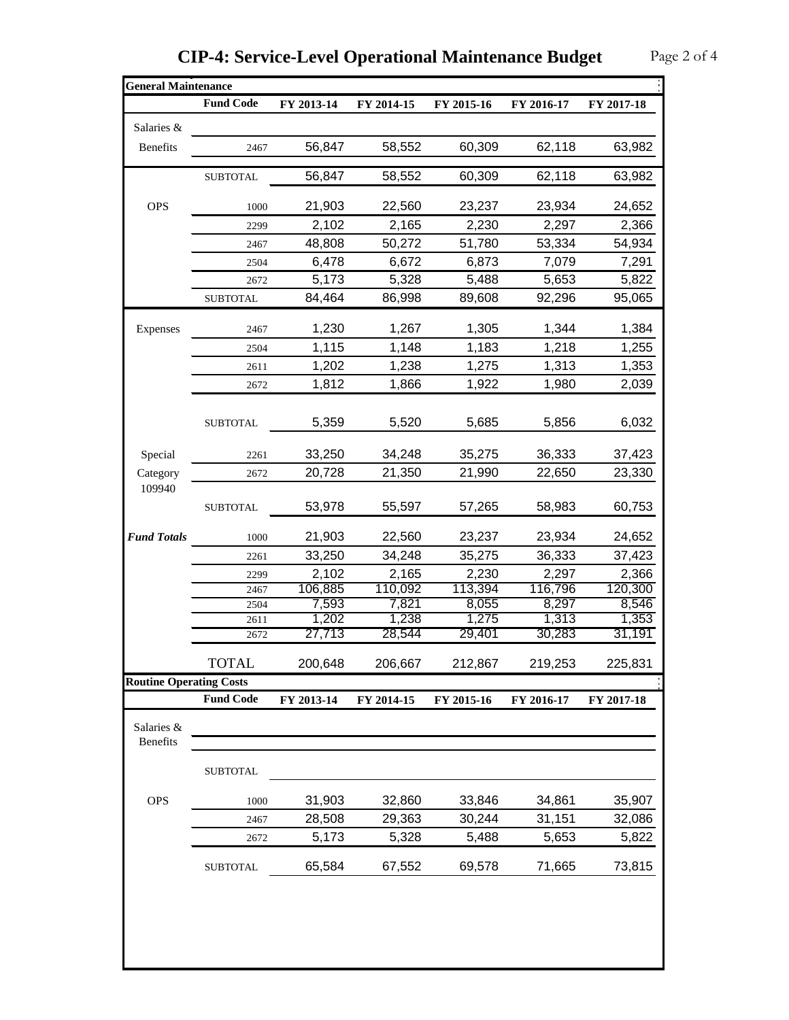| <b>Fund Code</b><br>2467<br><b>SUBTOTAL</b><br>1000<br>2299<br>2467<br>2504<br>2672<br><b>SUBTOTAL</b><br>2467<br>2504<br>2611<br>2672<br><b>SUBTOTAL</b><br>2261 | FY 2013-14<br>56,847<br>56,847<br>21,903<br>2,102<br>48,808<br>6,478<br>5,173<br>84,464<br>1,230<br>1,115<br>1,202<br>1,812<br>5,359 | FY 2014-15<br>58,552<br>58,552<br>22,560<br>2,165<br>50,272<br>6,672<br>5,328<br>86,998<br>1,267<br>1,148<br>1,238<br>1,866<br>5,520 | FY 2015-16<br>60,309<br>60,309<br>23,237<br>2,230<br>51,780<br>6,873<br>5,488<br>89,608<br>1,305<br>1,183<br>1,275<br>1,922 | FY 2016-17<br>62,118<br>62,118<br>23,934<br>2,297<br>53,334<br>7,079<br>5,653<br>92,296<br>1,344<br>1,218<br>1,313<br>1,980 | FY 2017-18<br>63,982<br>63,982<br>24,652<br>2,366<br>54,934<br>7,291<br>5,822<br>95,065<br>1,384<br>1,255<br>1,353<br>2,039 |
|-------------------------------------------------------------------------------------------------------------------------------------------------------------------|--------------------------------------------------------------------------------------------------------------------------------------|--------------------------------------------------------------------------------------------------------------------------------------|-----------------------------------------------------------------------------------------------------------------------------|-----------------------------------------------------------------------------------------------------------------------------|-----------------------------------------------------------------------------------------------------------------------------|
|                                                                                                                                                                   |                                                                                                                                      |                                                                                                                                      |                                                                                                                             |                                                                                                                             |                                                                                                                             |
|                                                                                                                                                                   |                                                                                                                                      |                                                                                                                                      |                                                                                                                             |                                                                                                                             |                                                                                                                             |
|                                                                                                                                                                   |                                                                                                                                      |                                                                                                                                      |                                                                                                                             |                                                                                                                             |                                                                                                                             |
|                                                                                                                                                                   |                                                                                                                                      |                                                                                                                                      |                                                                                                                             |                                                                                                                             |                                                                                                                             |
|                                                                                                                                                                   |                                                                                                                                      |                                                                                                                                      |                                                                                                                             |                                                                                                                             |                                                                                                                             |
|                                                                                                                                                                   |                                                                                                                                      |                                                                                                                                      |                                                                                                                             |                                                                                                                             |                                                                                                                             |
|                                                                                                                                                                   |                                                                                                                                      |                                                                                                                                      |                                                                                                                             |                                                                                                                             |                                                                                                                             |
|                                                                                                                                                                   |                                                                                                                                      |                                                                                                                                      |                                                                                                                             |                                                                                                                             |                                                                                                                             |
|                                                                                                                                                                   |                                                                                                                                      |                                                                                                                                      |                                                                                                                             |                                                                                                                             |                                                                                                                             |
|                                                                                                                                                                   |                                                                                                                                      |                                                                                                                                      |                                                                                                                             |                                                                                                                             |                                                                                                                             |
|                                                                                                                                                                   |                                                                                                                                      |                                                                                                                                      |                                                                                                                             |                                                                                                                             |                                                                                                                             |
|                                                                                                                                                                   |                                                                                                                                      |                                                                                                                                      |                                                                                                                             |                                                                                                                             |                                                                                                                             |
|                                                                                                                                                                   |                                                                                                                                      |                                                                                                                                      |                                                                                                                             |                                                                                                                             |                                                                                                                             |
|                                                                                                                                                                   |                                                                                                                                      |                                                                                                                                      |                                                                                                                             |                                                                                                                             |                                                                                                                             |
|                                                                                                                                                                   |                                                                                                                                      |                                                                                                                                      |                                                                                                                             |                                                                                                                             |                                                                                                                             |
|                                                                                                                                                                   |                                                                                                                                      |                                                                                                                                      | 5,685                                                                                                                       | 5,856                                                                                                                       | 6,032                                                                                                                       |
|                                                                                                                                                                   | 33,250                                                                                                                               | 34,248                                                                                                                               | 35,275                                                                                                                      | 36,333                                                                                                                      | 37,423                                                                                                                      |
| 2672                                                                                                                                                              |                                                                                                                                      |                                                                                                                                      |                                                                                                                             |                                                                                                                             | 23,330                                                                                                                      |
|                                                                                                                                                                   |                                                                                                                                      |                                                                                                                                      |                                                                                                                             |                                                                                                                             |                                                                                                                             |
|                                                                                                                                                                   |                                                                                                                                      |                                                                                                                                      |                                                                                                                             |                                                                                                                             | 60,753                                                                                                                      |
| 1000                                                                                                                                                              | 21,903                                                                                                                               | 22,560                                                                                                                               | 23,237                                                                                                                      | 23,934                                                                                                                      | 24,652                                                                                                                      |
| 2261                                                                                                                                                              | 33,250                                                                                                                               | 34,248                                                                                                                               | 35,275                                                                                                                      | 36,333                                                                                                                      | 37,423                                                                                                                      |
| 2299                                                                                                                                                              | 2,102                                                                                                                                | 2,165                                                                                                                                | 2,230                                                                                                                       | 2,297                                                                                                                       | 2,366                                                                                                                       |
| 2467                                                                                                                                                              |                                                                                                                                      |                                                                                                                                      |                                                                                                                             |                                                                                                                             | 120,300                                                                                                                     |
|                                                                                                                                                                   |                                                                                                                                      |                                                                                                                                      |                                                                                                                             |                                                                                                                             | 8,546                                                                                                                       |
|                                                                                                                                                                   |                                                                                                                                      |                                                                                                                                      |                                                                                                                             |                                                                                                                             | 1,353                                                                                                                       |
|                                                                                                                                                                   |                                                                                                                                      |                                                                                                                                      |                                                                                                                             |                                                                                                                             | 31,191                                                                                                                      |
| <b>TOTAL</b>                                                                                                                                                      | 200,648                                                                                                                              | 206,667                                                                                                                              | 212,867                                                                                                                     | 219,253                                                                                                                     | 225,831                                                                                                                     |
| <b>Routine Operating Costs</b>                                                                                                                                    |                                                                                                                                      |                                                                                                                                      |                                                                                                                             |                                                                                                                             |                                                                                                                             |
|                                                                                                                                                                   |                                                                                                                                      |                                                                                                                                      |                                                                                                                             |                                                                                                                             | FY 2017-18                                                                                                                  |
|                                                                                                                                                                   |                                                                                                                                      |                                                                                                                                      |                                                                                                                             |                                                                                                                             |                                                                                                                             |
| <b>SUBTOTAL</b>                                                                                                                                                   |                                                                                                                                      |                                                                                                                                      |                                                                                                                             |                                                                                                                             |                                                                                                                             |
| 1000                                                                                                                                                              | 31,903                                                                                                                               | 32,860                                                                                                                               | 33,846                                                                                                                      | 34,861                                                                                                                      | 35,907                                                                                                                      |
| 2467                                                                                                                                                              | 28,508                                                                                                                               | 29,363                                                                                                                               | 30,244                                                                                                                      | 31,151                                                                                                                      | 32,086                                                                                                                      |
| 2672                                                                                                                                                              | 5,173                                                                                                                                | 5,328                                                                                                                                | 5,488                                                                                                                       | 5,653                                                                                                                       | 5,822                                                                                                                       |
| <b>SUBTOTAL</b>                                                                                                                                                   | 65,584                                                                                                                               | 67,552                                                                                                                               | 69,578                                                                                                                      | 71,665                                                                                                                      | 73,815                                                                                                                      |
|                                                                                                                                                                   | <b>SUBTOTAL</b><br>2504<br>2611<br>2672<br><b>Fund Code</b>                                                                          | 20,728<br>53,978<br>106,885<br>7,593<br>1,202<br>27,713<br>FY 2013-14                                                                | 21,350<br>55,597<br>110,092<br>7,821<br>1,238<br>28,544<br>FY 2014-15                                                       | 21,990<br>57,265<br>113,394<br>8,055<br>1,275<br>29,401<br>FY 2015-16                                                       | 22,650<br>58,983<br>116,796<br>8,297<br>1,313<br>30,283<br>FY 2016-17                                                       |

| <b>CIP-4: Service-Level Operational Maintenance Budget</b> | Page 2 of 4 |
|------------------------------------------------------------|-------------|
|------------------------------------------------------------|-------------|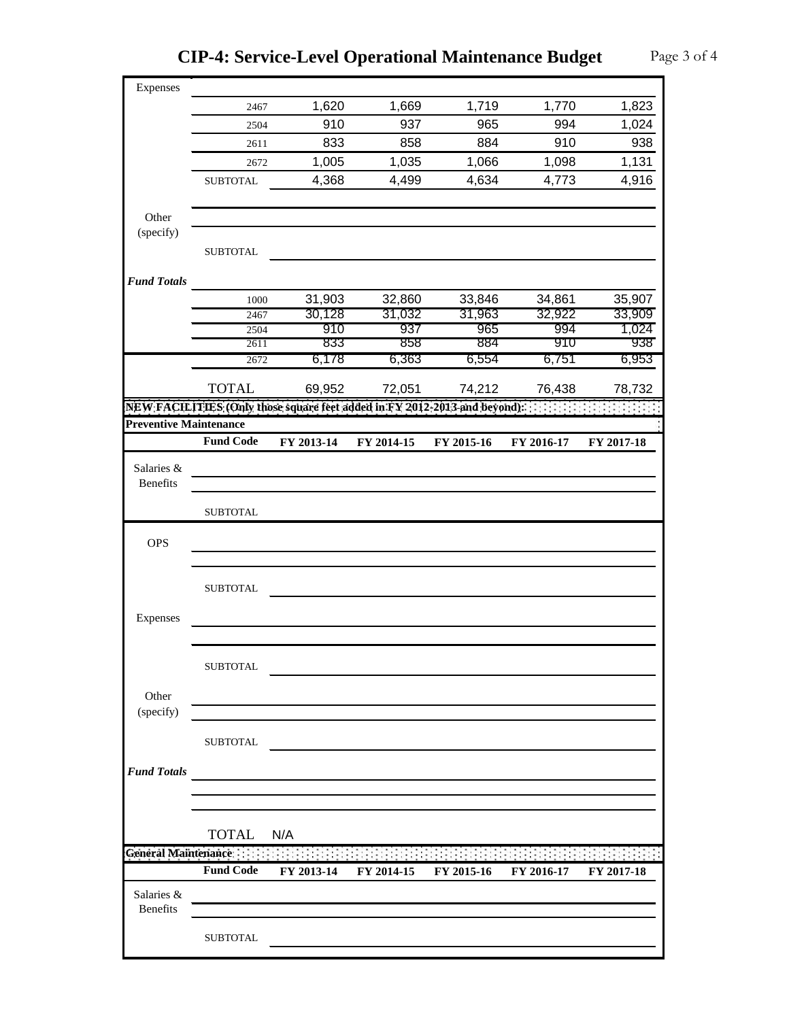**CIP-4: Service-Level Operational Maintenance Budget** Page 3 of 4

| Expenses<br>1,719<br>1,770<br>1,620<br>1,669<br>2467<br>910<br>937<br>965<br>994<br>2504<br>858<br>833<br>884<br>910<br>2611<br>1,005<br>1,035<br>1,066<br>1,098<br>1,131<br>2672<br>4,368<br>4,499<br>4,634<br>4,773<br>4,916<br><b>SUBTOTAL</b><br>Other<br>(specify)<br><b>SUBTOTAL</b><br><b>Fund Totals</b><br>31,903<br>32,860<br>33,846<br>34,861<br>1000<br>31,032<br>31,963<br>30,128<br>32,922<br>2467<br>1,024<br>937<br>965<br>910<br>994<br>2504<br>938<br>833<br>858<br>884<br>910<br>2611<br>6,178<br>6,363<br>6,554<br>6,751<br>6,953<br>2672<br><b>TOTAL</b><br>69,952<br>72,051<br>74,212<br>76,438<br>78,732<br>NEW FACILITIES (Only those square feet added in FY 2012-2013 and beyond):<br><b>Preventive Maintenance</b><br><b>Fund Code</b><br>FY 2013-14<br>FY 2014-15<br>FY 2015-16<br>FY 2016-17<br>FY 2017-18<br>Salaries &<br>Benefits<br><b>SUBTOTAL</b><br><b>OPS</b><br><b>SUBTOTAL</b><br>Expenses<br><b>SUBTOTAL</b><br>Other<br>(specify)<br>${\tt SUBTOTAL}$<br><b>Fund Totals</b><br><u> 1980 - Andrea Andrew Maria (h. 1980).</u><br><b>TOTAL</b><br>N/A<br><b>General Maintenance</b><br><b>Fund Code</b><br>FY 2013-14<br>FY 2014-15<br>FY 2015-16<br>FY 2016-17<br>FY 2017-18<br>Salaries &<br><b>Benefits</b><br><b>SUBTOTAL</b> |  |  |  |        |
|--------------------------------------------------------------------------------------------------------------------------------------------------------------------------------------------------------------------------------------------------------------------------------------------------------------------------------------------------------------------------------------------------------------------------------------------------------------------------------------------------------------------------------------------------------------------------------------------------------------------------------------------------------------------------------------------------------------------------------------------------------------------------------------------------------------------------------------------------------------------------------------------------------------------------------------------------------------------------------------------------------------------------------------------------------------------------------------------------------------------------------------------------------------------------------------------------------------------------------------------------------------------------|--|--|--|--------|
|                                                                                                                                                                                                                                                                                                                                                                                                                                                                                                                                                                                                                                                                                                                                                                                                                                                                                                                                                                                                                                                                                                                                                                                                                                                                          |  |  |  |        |
|                                                                                                                                                                                                                                                                                                                                                                                                                                                                                                                                                                                                                                                                                                                                                                                                                                                                                                                                                                                                                                                                                                                                                                                                                                                                          |  |  |  | 1,823  |
|                                                                                                                                                                                                                                                                                                                                                                                                                                                                                                                                                                                                                                                                                                                                                                                                                                                                                                                                                                                                                                                                                                                                                                                                                                                                          |  |  |  | 1,024  |
|                                                                                                                                                                                                                                                                                                                                                                                                                                                                                                                                                                                                                                                                                                                                                                                                                                                                                                                                                                                                                                                                                                                                                                                                                                                                          |  |  |  | 938    |
|                                                                                                                                                                                                                                                                                                                                                                                                                                                                                                                                                                                                                                                                                                                                                                                                                                                                                                                                                                                                                                                                                                                                                                                                                                                                          |  |  |  |        |
|                                                                                                                                                                                                                                                                                                                                                                                                                                                                                                                                                                                                                                                                                                                                                                                                                                                                                                                                                                                                                                                                                                                                                                                                                                                                          |  |  |  |        |
|                                                                                                                                                                                                                                                                                                                                                                                                                                                                                                                                                                                                                                                                                                                                                                                                                                                                                                                                                                                                                                                                                                                                                                                                                                                                          |  |  |  |        |
|                                                                                                                                                                                                                                                                                                                                                                                                                                                                                                                                                                                                                                                                                                                                                                                                                                                                                                                                                                                                                                                                                                                                                                                                                                                                          |  |  |  |        |
|                                                                                                                                                                                                                                                                                                                                                                                                                                                                                                                                                                                                                                                                                                                                                                                                                                                                                                                                                                                                                                                                                                                                                                                                                                                                          |  |  |  |        |
|                                                                                                                                                                                                                                                                                                                                                                                                                                                                                                                                                                                                                                                                                                                                                                                                                                                                                                                                                                                                                                                                                                                                                                                                                                                                          |  |  |  |        |
|                                                                                                                                                                                                                                                                                                                                                                                                                                                                                                                                                                                                                                                                                                                                                                                                                                                                                                                                                                                                                                                                                                                                                                                                                                                                          |  |  |  |        |
|                                                                                                                                                                                                                                                                                                                                                                                                                                                                                                                                                                                                                                                                                                                                                                                                                                                                                                                                                                                                                                                                                                                                                                                                                                                                          |  |  |  |        |
|                                                                                                                                                                                                                                                                                                                                                                                                                                                                                                                                                                                                                                                                                                                                                                                                                                                                                                                                                                                                                                                                                                                                                                                                                                                                          |  |  |  | 35,907 |
|                                                                                                                                                                                                                                                                                                                                                                                                                                                                                                                                                                                                                                                                                                                                                                                                                                                                                                                                                                                                                                                                                                                                                                                                                                                                          |  |  |  | 33,909 |
|                                                                                                                                                                                                                                                                                                                                                                                                                                                                                                                                                                                                                                                                                                                                                                                                                                                                                                                                                                                                                                                                                                                                                                                                                                                                          |  |  |  |        |
|                                                                                                                                                                                                                                                                                                                                                                                                                                                                                                                                                                                                                                                                                                                                                                                                                                                                                                                                                                                                                                                                                                                                                                                                                                                                          |  |  |  |        |
|                                                                                                                                                                                                                                                                                                                                                                                                                                                                                                                                                                                                                                                                                                                                                                                                                                                                                                                                                                                                                                                                                                                                                                                                                                                                          |  |  |  |        |
|                                                                                                                                                                                                                                                                                                                                                                                                                                                                                                                                                                                                                                                                                                                                                                                                                                                                                                                                                                                                                                                                                                                                                                                                                                                                          |  |  |  |        |
|                                                                                                                                                                                                                                                                                                                                                                                                                                                                                                                                                                                                                                                                                                                                                                                                                                                                                                                                                                                                                                                                                                                                                                                                                                                                          |  |  |  |        |
|                                                                                                                                                                                                                                                                                                                                                                                                                                                                                                                                                                                                                                                                                                                                                                                                                                                                                                                                                                                                                                                                                                                                                                                                                                                                          |  |  |  |        |
|                                                                                                                                                                                                                                                                                                                                                                                                                                                                                                                                                                                                                                                                                                                                                                                                                                                                                                                                                                                                                                                                                                                                                                                                                                                                          |  |  |  |        |
|                                                                                                                                                                                                                                                                                                                                                                                                                                                                                                                                                                                                                                                                                                                                                                                                                                                                                                                                                                                                                                                                                                                                                                                                                                                                          |  |  |  |        |
|                                                                                                                                                                                                                                                                                                                                                                                                                                                                                                                                                                                                                                                                                                                                                                                                                                                                                                                                                                                                                                                                                                                                                                                                                                                                          |  |  |  |        |
|                                                                                                                                                                                                                                                                                                                                                                                                                                                                                                                                                                                                                                                                                                                                                                                                                                                                                                                                                                                                                                                                                                                                                                                                                                                                          |  |  |  |        |
|                                                                                                                                                                                                                                                                                                                                                                                                                                                                                                                                                                                                                                                                                                                                                                                                                                                                                                                                                                                                                                                                                                                                                                                                                                                                          |  |  |  |        |
|                                                                                                                                                                                                                                                                                                                                                                                                                                                                                                                                                                                                                                                                                                                                                                                                                                                                                                                                                                                                                                                                                                                                                                                                                                                                          |  |  |  |        |
|                                                                                                                                                                                                                                                                                                                                                                                                                                                                                                                                                                                                                                                                                                                                                                                                                                                                                                                                                                                                                                                                                                                                                                                                                                                                          |  |  |  |        |
|                                                                                                                                                                                                                                                                                                                                                                                                                                                                                                                                                                                                                                                                                                                                                                                                                                                                                                                                                                                                                                                                                                                                                                                                                                                                          |  |  |  |        |
|                                                                                                                                                                                                                                                                                                                                                                                                                                                                                                                                                                                                                                                                                                                                                                                                                                                                                                                                                                                                                                                                                                                                                                                                                                                                          |  |  |  |        |
|                                                                                                                                                                                                                                                                                                                                                                                                                                                                                                                                                                                                                                                                                                                                                                                                                                                                                                                                                                                                                                                                                                                                                                                                                                                                          |  |  |  |        |
|                                                                                                                                                                                                                                                                                                                                                                                                                                                                                                                                                                                                                                                                                                                                                                                                                                                                                                                                                                                                                                                                                                                                                                                                                                                                          |  |  |  |        |
|                                                                                                                                                                                                                                                                                                                                                                                                                                                                                                                                                                                                                                                                                                                                                                                                                                                                                                                                                                                                                                                                                                                                                                                                                                                                          |  |  |  |        |
|                                                                                                                                                                                                                                                                                                                                                                                                                                                                                                                                                                                                                                                                                                                                                                                                                                                                                                                                                                                                                                                                                                                                                                                                                                                                          |  |  |  |        |
|                                                                                                                                                                                                                                                                                                                                                                                                                                                                                                                                                                                                                                                                                                                                                                                                                                                                                                                                                                                                                                                                                                                                                                                                                                                                          |  |  |  |        |
|                                                                                                                                                                                                                                                                                                                                                                                                                                                                                                                                                                                                                                                                                                                                                                                                                                                                                                                                                                                                                                                                                                                                                                                                                                                                          |  |  |  |        |
|                                                                                                                                                                                                                                                                                                                                                                                                                                                                                                                                                                                                                                                                                                                                                                                                                                                                                                                                                                                                                                                                                                                                                                                                                                                                          |  |  |  |        |
|                                                                                                                                                                                                                                                                                                                                                                                                                                                                                                                                                                                                                                                                                                                                                                                                                                                                                                                                                                                                                                                                                                                                                                                                                                                                          |  |  |  |        |
|                                                                                                                                                                                                                                                                                                                                                                                                                                                                                                                                                                                                                                                                                                                                                                                                                                                                                                                                                                                                                                                                                                                                                                                                                                                                          |  |  |  |        |
|                                                                                                                                                                                                                                                                                                                                                                                                                                                                                                                                                                                                                                                                                                                                                                                                                                                                                                                                                                                                                                                                                                                                                                                                                                                                          |  |  |  |        |
|                                                                                                                                                                                                                                                                                                                                                                                                                                                                                                                                                                                                                                                                                                                                                                                                                                                                                                                                                                                                                                                                                                                                                                                                                                                                          |  |  |  |        |
|                                                                                                                                                                                                                                                                                                                                                                                                                                                                                                                                                                                                                                                                                                                                                                                                                                                                                                                                                                                                                                                                                                                                                                                                                                                                          |  |  |  |        |
|                                                                                                                                                                                                                                                                                                                                                                                                                                                                                                                                                                                                                                                                                                                                                                                                                                                                                                                                                                                                                                                                                                                                                                                                                                                                          |  |  |  |        |